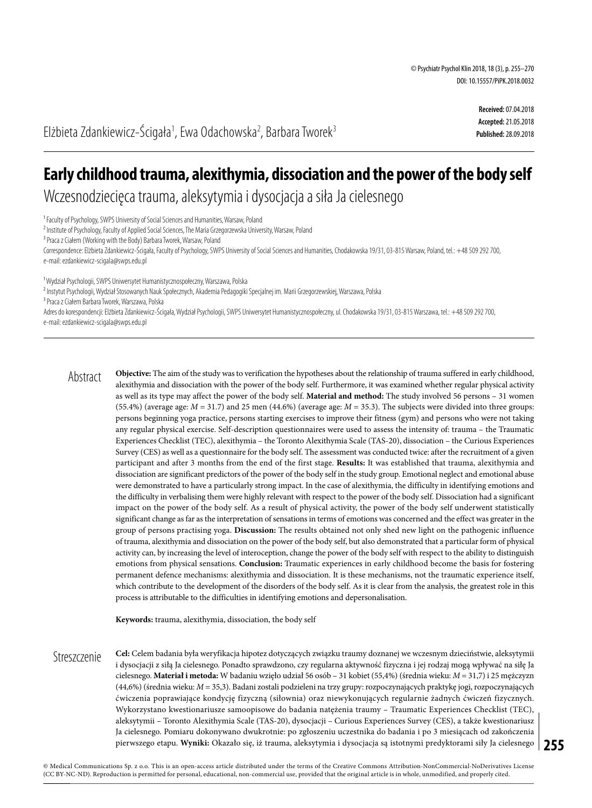**Received:** 07.04.2018 **Accepted:** 21.05.2018 **Published:** 28.09.2018

Elżbieta Zdankiewicz–Ścigała<sup>1</sup>, Ewa Odachowska<sup>2</sup>, Barbara Tworek<sup>3</sup>

# **Early childhood trauma, alexithymia, dissociation and the power of the body self**

Wczesnodziecięca trauma, aleksytymia i dysocjacja a siła Ja cielesnego

<sup>1</sup> Faculty of Psychology, SWPS University of Social Sciences and Humanities, Warsaw, Poland

<sup>2</sup> Institute of Psychology, Faculty of Applied Social Sciences, The Maria Grzegorzewska University, Warsaw, Poland

<sup>3</sup> Praca z Ciałem (Working with the Body) Barbara Tworek, Warsaw, Poland

Correspondence: Elżbieta Zdankiewicz-Ścigała, Faculty of Psychology, SWPS University of Social Sciences and Humanities, Chodakowska 19/31, 03-815 Warsaw, Poland, tel.: +48 509 292 700, e-mail: ezdankiewicz-scigala@swps.edu.pl

<sup>1</sup> Wydział Psychologii, SWPS Uniwersytet Humanistycznospołeczny, Warszawa, Polska

<sup>2</sup> Instytut Psychologii, Wydział Stosowanych Nauk Społecznych, Akademia Pedagogiki Specjalnej im. Marii Grzegorzewskiej, Warszawa, Polska

3 Praca z Ciałem Barbara Tworek, Warszawa, Polska

Adres do korespondencji: Elżbieta Zdankiewicz-Ścigała, Wydział Psychologii, SWPS Uniwersytet Humanistycznospołeczny, ul. Chodakowska 19/31, 03-815 Warszawa, tel.: +48 509 292 700, e-mail: ezdankiewicz-scigala@swps.edu.pl

**Objective:** The aim of the study was to verification the hypotheses about the relationship of trauma suffered in early childhood, alexithymia and dissociation with the power of the body self. Furthermore, it was examined whether regular physical activity as well as its type may affect the power of the body self. **Material and method:** The study involved 56 persons – 31 women (55.4%) (average age:  $M = 31.7$ ) and 25 men (44.6%) (average age:  $M = 35.3$ ). The subjects were divided into three groups: persons beginning yoga practice, persons starting exercises to improve their fitness (gym) and persons who were not taking any regular physical exercise. Self-description questionnaires were used to assess the intensity of: trauma – the Traumatic Experiences Checklist (TEC), alexithymia – the Toronto Alexithymia Scale (TAS-20), dissociation – the Curious Experiences Survey (CES) as well as a questionnaire for the body self. The assessment was conducted twice: after the recruitment of a given participant and after 3 months from the end of the first stage. **Results:** It was established that trauma, alexithymia and dissociation are significant predictors of the power of the body self in the study group. Emotional neglect and emotional abuse were demonstrated to have a particularly strong impact. In the case of alexithymia, the difficulty in identifying emotions and the difficulty in verbalising them were highly relevant with respect to the power of the body self. Dissociation had a significant impact on the power of the body self. As a result of physical activity, the power of the body self underwent statistically significant change as far as the interpretation of sensations in terms of emotions was concerned and the effect was greater in the group of persons practising yoga. **Discussion:** The results obtained not only shed new light on the pathogenic influence of trauma, alexithymia and dissociation on the power of the body self, but also demonstrated that a particular form of physical activity can, by increasing the level of interoception, change the power of the body self with respect to the ability to distinguish emotions from physical sensations. **Conclusion:** Traumatic experiences in early childhood become the basis for fostering permanent defence mechanisms: alexithymia and dissociation. It is these mechanisms, not the traumatic experience itself, which contribute to the development of the disorders of the body self. As it is clear from the analysis, the greatest role in this process is attributable to the difficulties in identifying emotions and depersonalisation. Abstract

**Keywords:** trauma, alexithymia, dissociation, the body self

**255** pierwszego etapu. **Wyniki:** Okazało się, iż trauma, aleksytymia i dysocjacja są istotnymi predyktorami siły Ja cielesnego **Cel:** Celem badania była weryfikacja hipotez dotyczących związku traumy doznanej we wczesnym dzieciństwie, aleksytymii i dysocjacji z siłą Ja cielesnego. Ponadto sprawdzono, czy regularna aktywność fizyczna i jej rodzaj mogą wpływać na siłę Ja cielesnego. **Materiał i metoda:** W badaniu wzięło udział 56 osób – 31 kobiet (55,4%) (średnia wieku: *M* = 31,7) i 25 mężczyzn (44,6%) (średnia wieku: *M* = 35,3). Badani zostali podzieleni na trzy grupy: rozpoczynających praktykę jogi, rozpoczynających ćwiczenia poprawiające kondycję fizyczną (siłownia) oraz niewykonujących regularnie żadnych ćwiczeń fizycznych. Wykorzystano kwestionariusze samoopisowe do badania natężenia traumy – Traumatic Experiences Checklist (TEC), aleksytymii – Toronto Alexithymia Scale (TAS-20), dysocjacji – Curious Experiences Survey (CES), a także kwestionariusz Ja cielesnego. Pomiaru dokonywano dwukrotnie: po zgłoszeniu uczestnika do badania i po 3 miesiącach od zakończenia **Streszczenie**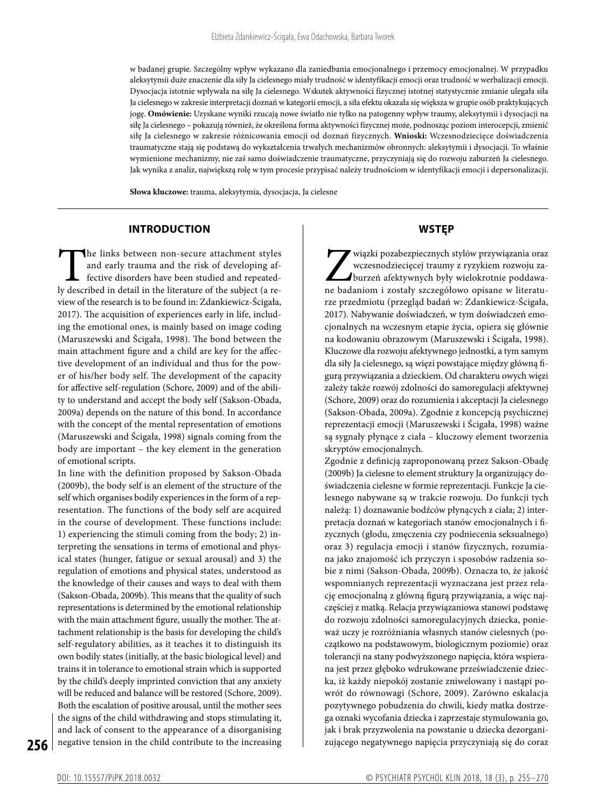w badanej grupie. Szczególny wpływ wykazano dla zaniedbania emocjonalnego i przemocy emocjonalnej. W przypadku aleksytymii duże znaczenie dla siły Ja cielesnego miały trudność w identyfikacji emocji oraz trudność w werbalizacji emocji. Dysocjacja istotnie wpływała na siłę Ja cielesnego. Wskutek aktywności fizycznej istotnej statystycznie zmianie ulegała siła Ja cielesnego w zakresie interpretacji doznań w kategorii emocji, a siła efektu okazała się większa w grupie osób praktykujących jogę. **Omówienie:** Uzyskane wyniki rzucają nowe światło nie tylko na patogenny wpływ traumy, aleksytymii i dysocjacji na siłę Ja cielesnego – pokazują również, że określona forma aktywności fizycznej może, podnosząc poziom interocepcji, zmienić siłę Ja cielesnego w zakresie różnicowania emocji od doznań fizycznych. **Wnioski:** Wczesnodziecięce doświadczenia traumatyczne stają się podstawą do wykształcenia trwałych mechanizmów obronnych: aleksytymii i dysocjacji. To właśnie wymienione mechanizmy, nie zaś samo doświadczenie traumatyczne, przyczyniają się do rozwoju zaburzeń Ja cielesnego. Jak wynika z analiz, największą rolę w tym procesie przypisać należy trudnościom w identyfikacji emocji i depersonalizacji.

**Słowa kluczowe:** trauma, aleksytymia, dysocjacja, Ja cielesne

#### **INTRODUCTION**

The links between non-secure attachment styles and early trauma and the risk of developing affective disorders have been studied and repeatedly described in detail in the literature of the subject (a reand early trauma and the risk of developing affective disorders have been studied and repeatedview of the research is to be found in: Zdankiewicz-Ścigała, 2017). The acquisition of experiences early in life, including the emotional ones, is mainly based on image coding (Maruszewski and Ścigała, 1998). The bond between the main attachment figure and a child are key for the affective development of an individual and thus for the power of his/her body self. The development of the capacity for affective self-regulation (Schore, 2009) and of the ability to understand and accept the body self (Sakson-Obada, 2009a) depends on the nature of this bond. In accordance with the concept of the mental representation of emotions (Maruszewski and Ścigała, 1998) signals coming from the body are important – the key element in the generation of emotional scripts.

In line with the definition proposed by Sakson-Obada (2009b), the body self is an element of the structure of the self which organises bodily experiences in the form of a representation. The functions of the body self are acquired in the course of development. These functions include: 1) experiencing the stimuli coming from the body; 2) interpreting the sensations in terms of emotional and physical states (hunger, fatigue or sexual arousal) and 3) the regulation of emotions and physical states, understood as the knowledge of their causes and ways to deal with them (Sakson-Obada, 2009b). This means that the quality of such representations is determined by the emotional relationship with the main attachment figure, usually the mother. The attachment relationship is the basis for developing the child's self-regulatory abilities, as it teaches it to distinguish its own bodily states (initially, at the basic biological level) and trains it in tolerance to emotional strain which is supported by the child's deeply imprinted conviction that any anxiety will be reduced and balance will be restored (Schore, 2009). Both the escalation of positive arousal, until the mother sees the signs of the child withdrawing and stops stimulating it, and lack of consent to the appearance of a disorganising negative tension in the child contribute to the increasing

# **WSTĘP**

wiązki pozabezpiecznych stylów przywiązania oraz wczesnodziecięcej traumy z ryzykiem rozwoju zaburzeń afektywnych były wielokrotnie poddawane badaniom i zostały szczegółowo opisane w literaturze przedmiotu (przegląd badań w: Zdankiewicz-Ścigała, 2017). Nabywanie doświadczeń, w tym doświadczeń emocjonalnych na wczesnym etapie życia, opiera się głównie na kodowaniu obrazowym (Maruszewski i Ścigała, 1998). Kluczowe dla rozwoju afektywnego jednostki, a tym samym dla siły Ja cielesnego, są więzi powstające między główną figurą przywiązania a dzieckiem. Od charakteru owych więzi zależy także rozwój zdolności do samoregulacji afektywnej (Schore, 2009) oraz do rozumienia i akceptacji Ja cielesnego (Sakson-Obada, 2009a). Zgodnie z koncepcją psychicznej reprezentacji emocji (Maruszewski i Ścigała, 1998) ważne są sygnały płynące z ciała – kluczowy element tworzenia skryptów emocjonalnych.

Zgodnie z definicją zaproponowaną przez Sakson-Obadę (2009b) Ja cielesne to element struktury Ja organizujący doświadczenia cielesne w formie reprezentacji. Funkcje Ja cielesnego nabywane są w trakcie rozwoju. Do funkcji tych należą: 1) doznawanie bodźców płynących z ciała; 2) interpretacja doznań w kategoriach stanów emocjonalnych i fizycznych (głodu, zmęczenia czy podniecenia seksualnego) oraz 3) regulacja emocji i stanów fizycznych, rozumiana jako znajomość ich przyczyn i sposobów radzenia sobie z nimi (Sakson-Obada, 2009b). Oznacza to, że jakość wspomnianych reprezentacji wyznaczana jest przez relację emocjonalną z główną figurą przywiązania, a więc najczęściej z matką. Relacja przywiązaniowa stanowi podstawę do rozwoju zdolności samoregulacyjnych dziecka, ponieważ uczy je rozróżniania własnych stanów cielesnych (początkowo na podstawowym, biologicznym poziomie) oraz tolerancji na stany podwyższonego napięcia, która wspierana jest przez głęboko wdrukowane przeświadczenie dziecka, iż każdy niepokój zostanie zniwelowany i nastąpi powrót do równowagi (Schore, 2009). Zarówno eskalacja pozytywnego pobudzenia do chwili, kiedy matka dostrzega oznaki wycofania dziecka i zaprzestaje stymulowania go, jak i brak przyzwolenia na powstanie u dziecka dezorganizującego negatywnego napięcia przyczyniają się do coraz

**256**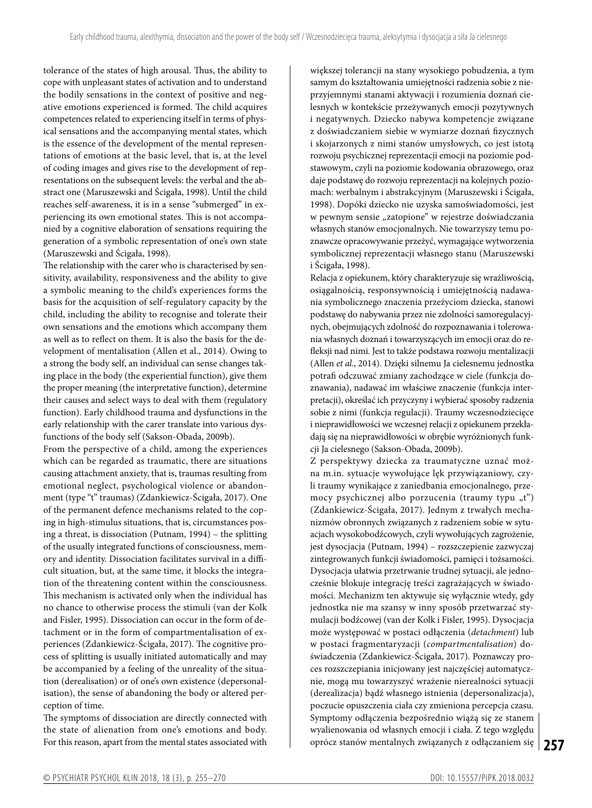tolerance of the states of high arousal. Thus, the ability to cope with unpleasant states of activation and to understand the bodily sensations in the context of positive and negative emotions experienced is formed. The child acquires competences related to experiencing itself in terms of physical sensations and the accompanying mental states, which is the essence of the development of the mental representations of emotions at the basic level, that is, at the level of coding images and gives rise to the development of representations on the subsequent levels: the verbal and the abstract one (Maruszewski and Ścigała, 1998). Until the child reaches self-awareness, it is in a sense "submerged" in experiencing its own emotional states. This is not accompanied by a cognitive elaboration of sensations requiring the generation of a symbolic representation of one's own state (Maruszewski and Ścigała, 1998).

The relationship with the carer who is characterised by sensitivity, availability, responsiveness and the ability to give a symbolic meaning to the child's experiences forms the basis for the acquisition of self-regulatory capacity by the child, including the ability to recognise and tolerate their own sensations and the emotions which accompany them as well as to reflect on them. It is also the basis for the development of mentalisation (Allen et al., 2014). Owing to a strong the body self, an individual can sense changes taking place in the body (the experiential function), give them the proper meaning (the interpretative function), determine their causes and select ways to deal with them (regulatory function). Early childhood trauma and dysfunctions in the early relationship with the carer translate into various dysfunctions of the body self (Sakson-Obada, 2009b).

From the perspective of a child, among the experiences which can be regarded as traumatic, there are situations causing attachment anxiety, that is, traumas resulting from emotional neglect, psychological violence or abandonment (type "t" traumas) (Zdankiewicz-Ścigała, 2017). One of the permanent defence mechanisms related to the coping in high-stimulus situations, that is, circumstances posing a threat, is dissociation (Putnam, 1994) – the splitting of the usually integrated functions of consciousness, memory and identity. Dissociation facilitates survival in a difficult situation, but, at the same time, it blocks the integration of the threatening content within the consciousness. This mechanism is activated only when the individual has no chance to otherwise process the stimuli (van der Kolk and Fisler, 1995). Dissociation can occur in the form of detachment or in the form of compartmentalisation of experiences (Zdankiewicz-Ścigała, 2017). The cognitive process of splitting is usually initiated automatically and may be accompanied by a feeling of the unreality of the situation (derealisation) or of one's own existence (depersonalisation), the sense of abandoning the body or altered perception of time.

The symptoms of dissociation are directly connected with the state of alienation from one's emotions and body. For this reason, apart from the mental states associated with większej tolerancji na stany wysokiego pobudzenia, a tym samym do kształtowania umiejętności radzenia sobie z nieprzyjemnymi stanami aktywacji i rozumienia doznań cielesnych w kontekście przeżywanych emocji pozytywnych i negatywnych. Dziecko nabywa kompetencje związane z doświadczaniem siebie w wymiarze doznań fizycznych i skojarzonych z nimi stanów umysłowych, co jest istotą rozwoju psychicznej reprezentacji emocji na poziomie podstawowym, czyli na poziomie kodowania obrazowego, oraz daje podstawę do rozwoju reprezentacji na kolejnych poziomach: werbalnym i abstrakcyjnym (Maruszewski i Ścigała, 1998). Dopóki dziecko nie uzyska samoświadomości, jest w pewnym sensie "zatopione" w rejestrze doświadczania własnych stanów emocjonalnych. Nie towarzyszy temu poznawcze opracowywanie przeżyć, wymagające wytworzenia symbolicznej reprezentacji własnego stanu (Maruszewski i Ścigała, 1998).

Relacja z opiekunem, który charakteryzuje się wrażliwością, osiągalnością, responsywnością i umiejętnością nadawania symbolicznego znaczenia przeżyciom dziecka, stanowi podstawę do nabywania przez nie zdolności samoregulacyjnych, obejmujących zdolność do rozpoznawania i tolerowania własnych doznań i towarzyszących im emocji oraz do refleksji nad nimi. Jest to także podstawa rozwoju mentalizacji (Allen *et al.*, 2014). Dzięki silnemu Ja cielesnemu jednostka potrafi odczuwać zmiany zachodzące w ciele (funkcja doznawania), nadawać im właściwe znaczenie (funkcja interpretacji), określać ich przyczyny i wybierać sposoby radzenia sobie z nimi (funkcja regulacji). Traumy wczesnodziecięce i nieprawidłowości we wczesnej relacji z opiekunem przekładają się na nieprawidłowości w obrębie wyróżnionych funkcji Ja cielesnego (Sakson-Obada, 2009b).

**257** oprócz stanów mentalnych związanych z odłączaniem się Z perspektywy dziecka za traumatyczne uznać można m.in. sytuacje wywołujące lęk przywiązaniowy, czyli traumy wynikające z zaniedbania emocjonalnego, przemocy psychicznej albo porzucenia (traumy typu " $t$ ") (Zdankiewicz-Ścigała, 2017). Jednym z trwałych mechanizmów obronnych związanych z radzeniem sobie w sytuacjach wysokobodźcowych, czyli wywołujących zagrożenie, jest dysocjacja (Putnam, 1994) – rozszczepienie zazwyczaj zintegrowanych funkcji świadomości, pamięci i tożsamości. Dysocjacja ułatwia przetrwanie trudnej sytuacji, ale jednocześnie blokuje integrację treści zagrażających w świadomości. Mechanizm ten aktywuje się wyłącznie wtedy, gdy jednostka nie ma szansy w inny sposób przetwarzać stymulacji bodźcowej (van der Kolk i Fisler, 1995). Dysocjacja może występować w postaci odłączenia (*detachment*) lub w postaci fragmentaryzacji (*compartmentalisation*) doświadczenia (Zdankiewicz-Ścigała, 2017). Poznawczy proces rozszczepiania inicjowany jest najczęściej automatycznie, mogą mu towarzyszyć wrażenie nierealności sytuacji (derealizacja) bądź własnego istnienia (depersonalizacja), poczucie opuszczenia ciała czy zmieniona percepcja czasu. Symptomy odłączenia bezpośrednio wiążą się ze stanem wyalienowania od własnych emocji i ciała. Z tego względu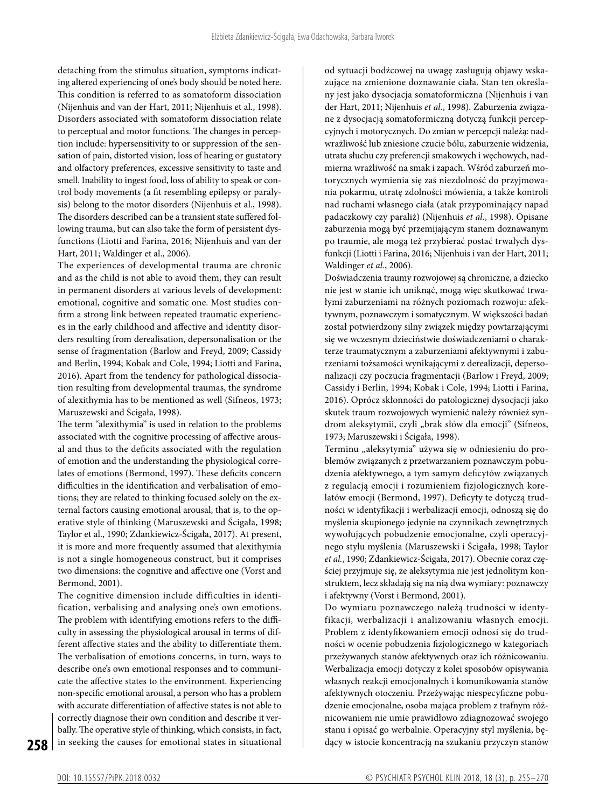detaching from the stimulus situation, symptoms indicating altered experiencing of one's body should be noted here. This condition is referred to as somatoform dissociation (Nijenhuis and van der Hart, 2011; Nijenhuis et al., 1998). Disorders associated with somatoform dissociation relate to perceptual and motor functions. The changes in perception include: hypersensitivity to or suppression of the sensation of pain, distorted vision, loss of hearing or gustatory and olfactory preferences, excessive sensitivity to taste and smell. Inability to ingest food, loss of ability to speak or control body movements (a fit resembling epilepsy or paralysis) belong to the motor disorders (Nijenhuis et al., 1998). The disorders described can be a transient state suffered following trauma, but can also take the form of persistent dysfunctions (Liotti and Farina, 2016; Nijenhuis and van der Hart, 2011; Waldinger et al., 2006).

The experiences of developmental trauma are chronic and as the child is not able to avoid them, they can result in permanent disorders at various levels of development: emotional, cognitive and somatic one. Most studies confirm a strong link between repeated traumatic experiences in the early childhood and affective and identity disorders resulting from derealisation, depersonalisation or the sense of fragmentation (Barlow and Freyd, 2009; Cassidy and Berlin, 1994; Kobak and Cole, 1994; Liotti and Farina, 2016). Apart from the tendency for pathological dissociation resulting from developmental traumas, the syndrome of alexithymia has to be mentioned as well (Sifneos, 1973; Maruszewski and Ścigała, 1998).

The term "alexithymia" is used in relation to the problems associated with the cognitive processing of affective arousal and thus to the deficits associated with the regulation of emotion and the understanding the physiological correlates of emotions (Bermond, 1997). These deficits concern difficulties in the identification and verbalisation of emotions; they are related to thinking focused solely on the external factors causing emotional arousal, that is, to the operative style of thinking (Maruszewski and Ścigała, 1998; Taylor et al., 1990; Zdankiewicz-Ścigała, 2017). At present, it is more and more frequently assumed that alexithymia is not a single homogeneous construct, but it comprises two dimensions: the cognitive and affective one (Vorst and Bermond, 2001).

The cognitive dimension include difficulties in identification, verbalising and analysing one's own emotions. The problem with identifying emotions refers to the difficulty in assessing the physiological arousal in terms of different affective states and the ability to differentiate them. The verbalisation of emotions concerns, in turn, ways to describe one's own emotional responses and to communicate the affective states to the environment. Experiencing non-specific emotional arousal, a person who has a problem with accurate differentiation of affective states is not able to correctly diagnose their own condition and describe it verbally. The operative style of thinking, which consists, in fact, in seeking the causes for emotional states in situational

od sytuacji bodźcowej na uwagę zasługują objawy wskazujące na zmienione doznawanie ciała. Stan ten określany jest jako dysocjacja somatoformiczna (Nijenhuis i van der Hart, 2011; Nijenhuis *et al.*, 1998). Zaburzenia związane z dysocjacją somatoformiczną dotyczą funkcji percepcyjnych i motorycznych. Do zmian w percepcji należą: nadwrażliwość lub zniesione czucie bólu, zaburzenie widzenia, utrata słuchu czy preferencji smakowych i węchowych, nadmierna wrażliwość na smak i zapach. Wśród zaburzeń motorycznych wymienia się zaś niezdolność do przyjmowania pokarmu, utratę zdolności mówienia, a także kontroli nad ruchami własnego ciała (atak przypominający napad padaczkowy czy paraliż) (Nijenhuis *et al.*, 1998). Opisane zaburzenia mogą być przemijającym stanem doznawanym po traumie, ale mogą też przybierać postać trwałych dysfunkcji (Liotti i Farina, 2016; Nijenhuis i van der Hart, 2011; Waldinger *et al.*, 2006).

Doświadczenia traumy rozwojowej są chroniczne, a dziecko nie jest w stanie ich uniknąć, mogą więc skutkować trwałymi zaburzeniami na różnych poziomach rozwoju: afektywnym, poznawczym i somatycznym. W większości badań został potwierdzony silny związek między powtarzającymi się we wczesnym dzieciństwie doświadczeniami o charakterze traumatycznym a zaburzeniami afektywnymi i zaburzeniami tożsamości wynikającymi z derealizacji, depersonalizacji czy poczucia fragmentacji (Barlow i Freyd, 2009; Cassidy i Berlin, 1994; Kobak i Cole, 1994; Liotti i Farina, 2016). Oprócz skłonności do patologicznej dysocjacji jako skutek traum rozwojowych wymienić należy również syndrom aleksytymii, czyli "brak słów dla emocji" (Sifneos, 1973; Maruszewski i Ścigała, 1998).

Terminu "aleksytymia" używa się w odniesieniu do problemów związanych z przetwarzaniem poznawczym pobudzenia afektywnego, a tym samym deficytów związanych z regulacją emocji i rozumieniem fizjologicznych korelatów emocji (Bermond, 1997). Deficyty te dotyczą trudności w identyfikacji i werbalizacji emocji, odnoszą się do myślenia skupionego jedynie na czynnikach zewnętrznych wywołujących pobudzenie emocjonalne, czyli operacyjnego stylu myślenia (Maruszewski i Ścigała, 1998; Taylor *et al.*, 1990; Zdankiewicz-Ścigała, 2017). Obecnie coraz częściej przyjmuje się, że aleksytymia nie jest jednolitym konstruktem, lecz składają się na nią dwa wymiary: poznawczy i afektywny (Vorst i Bermond, 2001).

Do wymiaru poznawczego należą trudności w identyfikacji, werbalizacji i analizowaniu własnych emocji. Problem z identyfikowaniem emocji odnosi się do trudności w ocenie pobudzenia fizjologicznego w kategoriach przeżywanych stanów afektywnych oraz ich różnicowaniu. Werbalizacja emocji dotyczy z kolei sposobów opisywania własnych reakcji emocjonalnych i komunikowania stanów afektywnych otoczeniu. Przeżywając niespecyficzne pobudzenie emocjonalne, osoba mająca problem z trafnym różnicowaniem nie umie prawidłowo zdiagnozować swojego stanu i opisać go werbalnie. Operacyjny styl myślenia, będący w istocie koncentracją na szukaniu przyczyn stanów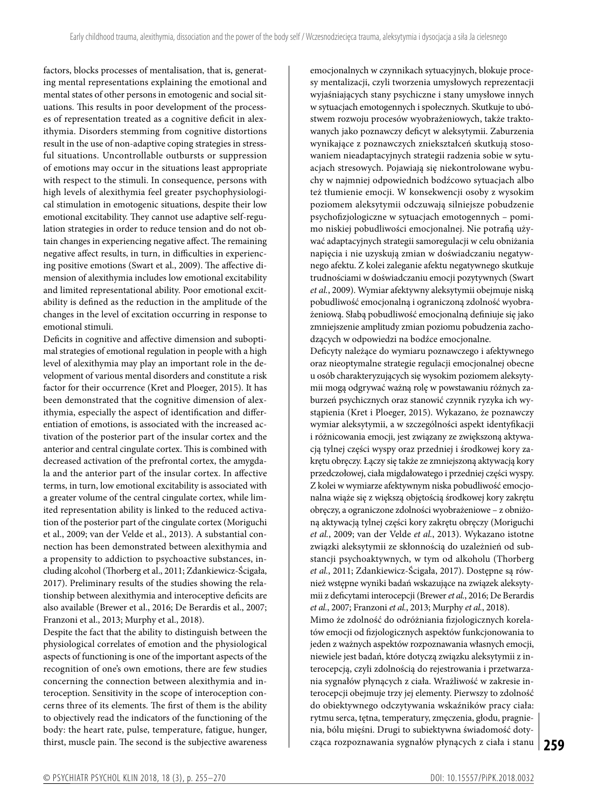factors, blocks processes of mentalisation, that is, generating mental representations explaining the emotional and mental states of other persons in emotogenic and social situations. This results in poor development of the processes of representation treated as a cognitive deficit in alexithymia. Disorders stemming from cognitive distortions result in the use of non-adaptive coping strategies in stressful situations. Uncontrollable outbursts or suppression of emotions may occur in the situations least appropriate with respect to the stimuli. In consequence, persons with high levels of alexithymia feel greater psychophysiological stimulation in emotogenic situations, despite their low emotional excitability. They cannot use adaptive self-regulation strategies in order to reduce tension and do not obtain changes in experiencing negative affect. The remaining negative affect results, in turn, in difficulties in experiencing positive emotions (Swart et al., 2009). The affective dimension of alexithymia includes low emotional excitability and limited representational ability. Poor emotional excitability is defined as the reduction in the amplitude of the changes in the level of excitation occurring in response to emotional stimuli.

Deficits in cognitive and affective dimension and suboptimal strategies of emotional regulation in people with a high level of alexithymia may play an important role in the development of various mental disorders and constitute a risk factor for their occurrence (Kret and Ploeger, 2015). It has been demonstrated that the cognitive dimension of alexithymia, especially the aspect of identification and differentiation of emotions, is associated with the increased activation of the posterior part of the insular cortex and the anterior and central cingulate cortex. This is combined with decreased activation of the prefrontal cortex, the amygdala and the anterior part of the insular cortex. In affective terms, in turn, low emotional excitability is associated with a greater volume of the central cingulate cortex, while limited representation ability is linked to the reduced activation of the posterior part of the cingulate cortex (Moriguchi et al., 2009; van der Velde et al., 2013). A substantial connection has been demonstrated between alexithymia and a propensity to addiction to psychoactive substances, including alcohol (Thorberg et al., 2011; Zdankiewicz-Ścigała, 2017). Preliminary results of the studies showing the relationship between alexithymia and interoceptive deficits are also available (Brewer et al., 2016; De Berardis et al., 2007; Franzoni et al., 2013; Murphy et al., 2018).

Despite the fact that the ability to distinguish between the physiological correlates of emotion and the physiological aspects of functioning is one of the important aspects of the recognition of one's own emotions, there are few studies concerning the connection between alexithymia and interoception. Sensitivity in the scope of interoception concerns three of its elements. The first of them is the ability to objectively read the indicators of the functioning of the body: the heart rate, pulse, temperature, fatigue, hunger, thirst, muscle pain. The second is the subjective awareness emocjonalnych w czynnikach sytuacyjnych, blokuje procesy mentalizacji, czyli tworzenia umysłowych reprezentacji wyjaśniających stany psychiczne i stany umysłowe innych w sytuacjach emotogennych i społecznych. Skutkuje to ubóstwem rozwoju procesów wyobrażeniowych, także traktowanych jako poznawczy deficyt w aleksytymii. Zaburzenia wynikające z poznawczych zniekształceń skutkują stosowaniem nieadaptacyjnych strategii radzenia sobie w sytuacjach stresowych. Pojawiają się niekontrolowane wybuchy w najmniej odpowiednich bodźcowo sytuacjach albo też tłumienie emocji. W konsekwencji osoby z wysokim poziomem aleksytymii odczuwają silniejsze pobudzenie psychofizjologiczne w sytuacjach emotogennych – pomimo niskiej pobudliwości emocjonalnej. Nie potrafią używać adaptacyjnych strategii samoregulacji w celu obniżania napięcia i nie uzyskują zmian w doświadczaniu negatywnego afektu. Z kolei zaleganie afektu negatywnego skutkuje trudnościami w doświadczaniu emocji pozytywnych (Swart *et al.*, 2009). Wymiar afektywny aleksytymii obejmuje niską pobudliwość emocjonalną i ograniczoną zdolność wyobrażeniową. Słabą pobudliwość emocjonalną definiuje się jako zmniejszenie amplitudy zmian poziomu pobudzenia zachodzących w odpowiedzi na bodźce emocjonalne.

Deficyty należące do wymiaru poznawczego i afektywnego oraz nieoptymalne strategie regulacji emocjonalnej obecne u osób charakteryzujących się wysokim poziomem aleksytymii mogą odgrywać ważną rolę w powstawaniu różnych zaburzeń psychicznych oraz stanowić czynnik ryzyka ich wystąpienia (Kret i Ploeger, 2015). Wykazano, że poznawczy wymiar aleksytymii, a w szczególności aspekt identyfikacji i różnicowania emocji, jest związany ze zwiększoną aktywacją tylnej części wyspy oraz przedniej i środkowej kory zakrętu obręczy. Łączy się także ze zmniejszoną aktywacją kory przedczołowej, ciała migdałowatego i przedniej części wyspy. Z kolei w wymiarze afektywnym niska pobudliwość emocjonalna wiąże się z większą objętością środkowej kory zakrętu obręczy, a ograniczone zdolności wyobrażeniowe – z obniżoną aktywacją tylnej części kory zakrętu obręczy (Moriguchi *et al.*, 2009; van der Velde *et al.*, 2013). Wykazano istotne związki aleksytymii ze skłonnością do uzależnień od substancji psychoaktywnych, w tym od alkoholu (Thorberg *et al.*, 2011; Zdankiewicz-Ścigała, 2017). Dostępne są również wstępne wyniki badań wskazujące na związek aleksytymii z deficytami interocepcji (Brewer *et al.*, 2016; De Berardis *et al.*, 2007; Franzoni *et al.*, 2013; Murphy *et al.*, 2018).

**259** cząca rozpoznawania sygnałów płynących z ciała i stanu Mimo że zdolność do odróżniania fizjologicznych korelatów emocji od fizjologicznych aspektów funkcjonowania to jeden z ważnych aspektów rozpoznawania własnych emocji, niewiele jest badań, które dotyczą związku aleksytymii z interocepcją, czyli zdolnością do rejestrowania i przetwarzania sygnałów płynących z ciała. Wrażliwość w zakresie interocepcji obejmuje trzy jej elementy. Pierwszy to zdolność do obiektywnego odczytywania wskaźników pracy ciała: rytmu serca, tętna, temperatury, zmęczenia, głodu, pragnienia, bólu mięśni. Drugi to subiektywna świadomość doty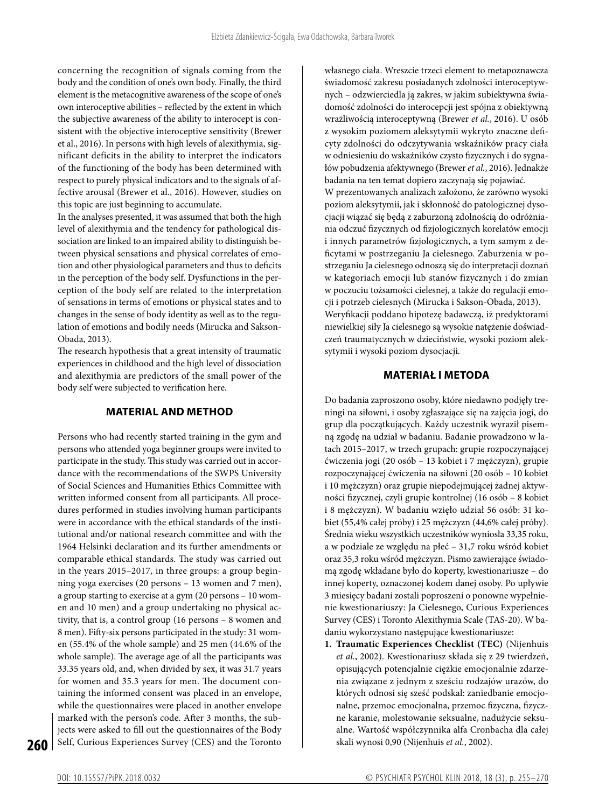concerning the recognition of signals coming from the body and the condition of one's own body. Finally, the third element is the metacognitive awareness of the scope of one's own interoceptive abilities – reflected by the extent in which the subjective awareness of the ability to interocept is consistent with the objective interoceptive sensitivity (Brewer et al., 2016). In persons with high levels of alexithymia, significant deficits in the ability to interpret the indicators of the functioning of the body has been determined with respect to purely physical indicators and to the signals of affective arousal (Brewer et al., 2016). However, studies on this topic are just beginning to accumulate.

In the analyses presented, it was assumed that both the high level of alexithymia and the tendency for pathological dissociation are linked to an impaired ability to distinguish between physical sensations and physical correlates of emotion and other physiological parameters and thus to deficits in the perception of the body self. Dysfunctions in the perception of the body self are related to the interpretation of sensations in terms of emotions or physical states and to changes in the sense of body identity as well as to the regulation of emotions and bodily needs (Mirucka and Sakson-Obada, 2013).

The research hypothesis that a great intensity of traumatic experiences in childhood and the high level of dissociation and alexithymia are predictors of the small power of the body self were subjected to verification here.

# **MATERIAL AND METHOD**

Persons who had recently started training in the gym and persons who attended yoga beginner groups were invited to participate in the study. This study was carried out in accordance with the recommendations of the SWPS University of Social Sciences and Humanities Ethics Committee with written informed consent from all participants. All procedures performed in studies involving human participants were in accordance with the ethical standards of the institutional and/or national research committee and with the 1964 Helsinki declaration and its further amendments or comparable ethical standards. The study was carried out in the years 2015–2017, in three groups: a group beginning yoga exercises (20 persons – 13 women and 7 men), a group starting to exercise at a gym (20 persons – 10 women and 10 men) and a group undertaking no physical activity, that is, a control group (16 persons – 8 women and 8 men). Fifty-six persons participated in the study: 31 women (55.4% of the whole sample) and 25 men (44.6% of the whole sample). The average age of all the participants was 33.35 years old, and, when divided by sex, it was 31.7 years for women and 35.3 years for men. The document containing the informed consent was placed in an envelope, while the questionnaires were placed in another envelope marked with the person's code. After 3 months, the subjects were asked to fill out the questionnaires of the Body Self, Curious Experiences Survey (CES) and the Toronto

własnego ciała. Wreszcie trzeci element to metapoznawcza świadomość zakresu posiadanych zdolności interoceptywnych – odzwierciedla ją zakres, w jakim subiektywna świadomość zdolności do interocepcji jest spójna z obiektywną wrażliwością interoceptywną (Brewer *et al.*, 2016). U osób z wysokim poziomem aleksytymii wykryto znaczne deficyty zdolności do odczytywania wskaźników pracy ciała w odniesieniu do wskaźników czysto fizycznych i do sygnałów pobudzenia afektywnego (Brewer *et al.*, 2016). Jednakże badania na ten temat dopiero zaczynają się pojawiać.

W prezentowanych analizach założono, że zarówno wysoki poziom aleksytymii, jak i skłonność do patologicznej dysocjacji wiązać się będą z zaburzoną zdolnością do odróżniania odczuć fizycznych od fizjologicznych korelatów emocji i innych parametrów fizjologicznych, a tym samym z deficytami w postrzeganiu Ja cielesnego. Zaburzenia w postrzeganiu Ja cielesnego odnoszą się do interpretacji doznań w kategoriach emocji lub stanów fizycznych i do zmian w poczuciu tożsamości cielesnej, a także do regulacji emocji i potrzeb cielesnych (Mirucka i Sakson-Obada, 2013). Weryfikacji poddano hipotezę badawczą, iż predyktorami niewielkiej siły Ja cielesnego są wysokie natężenie doświadczeń traumatycznych w dzieciństwie, wysoki poziom aleksytymii i wysoki poziom dysocjacji.

# **MATERIAŁ I METODA**

Do badania zaproszono osoby, które niedawno podjęły treningi na siłowni, i osoby zgłaszające się na zajęcia jogi, do grup dla początkujących. Każdy uczestnik wyraził pisemną zgodę na udział w badaniu. Badanie prowadzono w latach 2015–2017, w trzech grupach: grupie rozpoczynającej ćwiczenia jogi (20 osób – 13 kobiet i 7 mężczyzn), grupie rozpoczynającej ćwiczenia na siłowni (20 osób – 10 kobiet i 10 mężczyzn) oraz grupie niepodejmującej żadnej aktywności fizycznej, czyli grupie kontrolnej (16 osób – 8 kobiet i 8 mężczyzn). W badaniu wzięło udział 56 osób: 31 kobiet (55,4% całej próby) i 25 mężczyzn (44,6% całej próby). Średnia wieku wszystkich uczestników wyniosła 33,35 roku, a w podziale ze względu na płeć – 31,7 roku wśród kobiet oraz 35,3 roku wśród mężczyzn. Pismo zawierające świadomą zgodę wkładane było do koperty, kwestionariusze – do innej koperty, oznaczonej kodem danej osoby. Po upływie 3 miesięcy badani zostali poproszeni o ponowne wypełnienie kwestionariuszy: Ja Cielesnego, Curious Experiences Survey (CES) i Toronto Alexithymia Scale (TAS-20). W badaniu wykorzystano następujące kwestionariusze:

**1. Traumatic Experiences Checklist (TEC)** (Nijenhuis *et al.*, 2002). Kwestionariusz składa się z 29 twierdzeń, opisujących potencjalnie ciężkie emocjonalnie zdarzenia związane z jednym z sześciu rodzajów urazów, do których odnosi się sześć podskal: zaniedbanie emocjonalne, przemoc emocjonalna, przemoc fizyczna, fizyczne karanie, molestowanie seksualne, nadużycie seksualne. Wartość współczynnika alfa Cronbacha dla całej skali wynosi 0,90 (Nijenhuis *et al.*, 2002).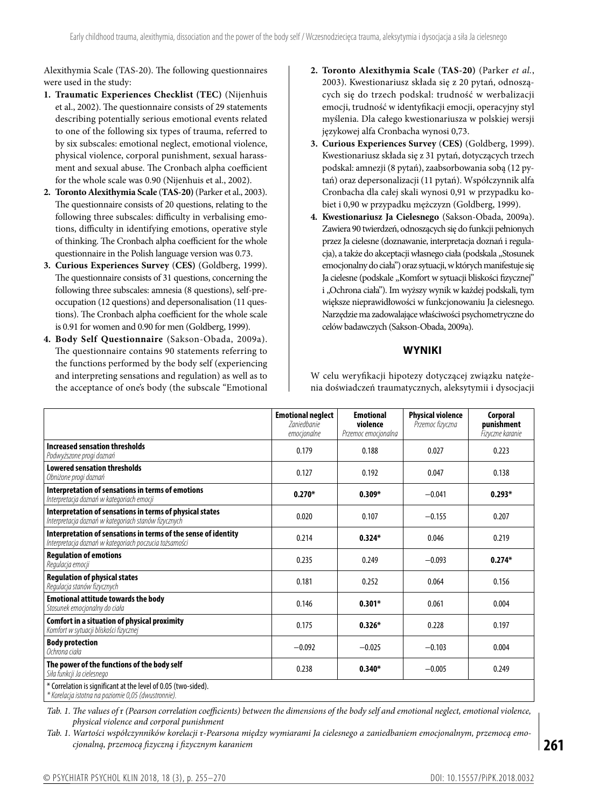Alexithymia Scale (TAS-20). The following questionnaires were used in the study:

- **1. Traumatic Experiences Checklist (TEC)** (Nijenhuis et al., 2002). The questionnaire consists of 29 statements describing potentially serious emotional events related to one of the following six types of trauma, referred to by six subscales: emotional neglect, emotional violence, physical violence, corporal punishment, sexual harassment and sexual abuse. The Cronbach alpha coefficient for the whole scale was 0.90 (Nijenhuis et al., 2002).
- **2. Toronto Alexithymia Scale** (**TAS-20)** (Parker et al., 2003). The questionnaire consists of 20 questions, relating to the following three subscales: difficulty in verbalising emotions, difficulty in identifying emotions, operative style of thinking. The Cronbach alpha coefficient for the whole questionnaire in the Polish language version was 0.73.
- **3. Curious Experiences Survey** (**CES)** (Goldberg, 1999). The questionnaire consists of 31 questions, concerning the following three subscales: amnesia (8 questions), self-preoccupation (12 questions) and depersonalisation (11 questions). The Cronbach alpha coefficient for the whole scale is 0.91 for women and 0.90 for men (Goldberg, 1999).
- **4. Body Self Questionnaire** (Sakson-Obada, 2009a). The questionnaire contains 90 statements referring to the functions performed by the body self (experiencing and interpreting sensations and regulation) as well as to the acceptance of one's body (the subscale "Emotional
- **2. Toronto Alexithymia Scale** (**TAS-20)** (Parker *et al.*, 2003). Kwestionariusz składa się z 20 pytań, odnoszących się do trzech podskal: trudność w werbalizacji emocji, trudność w identyfikacji emocji, operacyjny styl myślenia. Dla całego kwestionariusza w polskiej wersji językowej alfa Cronbacha wynosi 0,73.
- **3. Curious Experiences Survey** (**CES)** (Goldberg, 1999). Kwestionariusz składa się z 31 pytań, dotyczących trzech podskal: amnezji (8 pytań), zaabsorbowania sobą (12 pytań) oraz depersonalizacji (11 pytań). Współczynnik alfa Cronbacha dla całej skali wynosi 0,91 w przypadku kobiet i 0,90 w przypadku mężczyzn (Goldberg, 1999).
- **4. Kwestionariusz Ja Cielesnego** (Sakson-Obada, 2009a). Zawiera 90 twierdzeń, odnoszących się do funkcji pełnionych przez Ja cielesne (doznawanie, interpretacja doznań i regulacja), a także do akceptacji własnego ciała (podskala "Stosunek emocjonalny do ciała") oraz sytuacji, wktórych manifestuje się Ja cielesne (podskale "Komfort w sytuacji bliskości fizycznej" i "Ochrona ciała"). Im wyższy wynik w każdej podskali, tym większe nieprawidłowości w funkcjonowaniu Ja cielesnego. Narzędzie ma zadowalające właściwości psychometryczne do celów badawczych (Sakson-Obada, 2009a).

# **WYNIKI**

W celu weryfikacji hipotezy dotyczącej związku natężenia doświadczeń traumatycznych, aleksytymii i dysocjacji

|                                                                                                                          | <b>Emotional neglect</b><br><b>Zaniedbanie</b><br>emocjonalne | <b>Emotional</b><br>violence<br>Przemoc emocjonalna | <b>Physical violence</b><br>Przemoc fizyczna | <b>Corporal</b><br>punishment<br>Fizyczne karanie |
|--------------------------------------------------------------------------------------------------------------------------|---------------------------------------------------------------|-----------------------------------------------------|----------------------------------------------|---------------------------------------------------|
| Increased sensation thresholds<br>Podwyższone progi doznań                                                               | 0.179                                                         | 0.188                                               | 0.027                                        | 0.223                                             |
| <b>Lowered sensation thresholds</b><br>Obniżone progi doznań                                                             | 0.127                                                         | 0.192                                               | 0.047                                        | 0.138                                             |
| Interpretation of sensations in terms of emotions<br>Interpretacja doznań w kategoriach emocji                           | $0.270*$                                                      | $0.309*$                                            | $-0.041$                                     | $0.293*$                                          |
| Interpretation of sensations in terms of physical states<br>Interpretacja doznań w kategoriach stanów fizycznych         | 0.020                                                         | 0.107                                               | $-0.155$                                     | 0.207                                             |
| Interpretation of sensations in terms of the sense of identity<br>Interpretacja doznań w kategoriach poczucia tożsamości | 0.214                                                         | $0.324*$                                            | 0.046                                        | 0.219                                             |
| <b>Regulation of emotions</b><br>Regulacja emocji                                                                        | 0.235                                                         | 0.249                                               | $-0.093$                                     | $0.274*$                                          |
| <b>Regulation of physical states</b><br>Regulacja stanów fizycznych                                                      | 0.181                                                         | 0.252                                               | 0.064                                        | 0.156                                             |
| <b>Emotional attitude towards the body</b><br>Stosunek emocjonalny do ciała                                              | 0.146                                                         | $0.301*$                                            | 0.061                                        | 0.004                                             |
| Comfort in a situation of physical proximity<br>Komfort w sytuacji bliskości fizycznej                                   | 0.175                                                         | $0.326*$                                            | 0.228                                        | 0.197                                             |
| <b>Body protection</b><br>Ochrona ciała                                                                                  | $-0.092$                                                      | $-0.025$                                            | $-0.103$                                     | 0.004                                             |
| The power of the functions of the body self<br>Siła funkcji Ja cielesnego                                                | 0.238                                                         | $0.340*$                                            | $-0.005$                                     | 0.249                                             |
| * Correlation is significant at the level of 0.05 (two-sided).<br>* Korelacja istotna na poziomie 0,05 (dwustronnie).    |                                                               |                                                     |                                              |                                                   |

*Tab. 1. The values of* r *(Pearson correlation coefficients) between the dimensions of the body self and emotional neglect, emotional violence, physical violence and corporal punishment*

*Tab. 1. Wartości współczynników korelacji* r*-Pearsona między wymiarami Ja cielesnego a zaniedbaniem emocjonalnym, przemocą emocjonalną, przemocą fizyczną i fizycznym karaniem*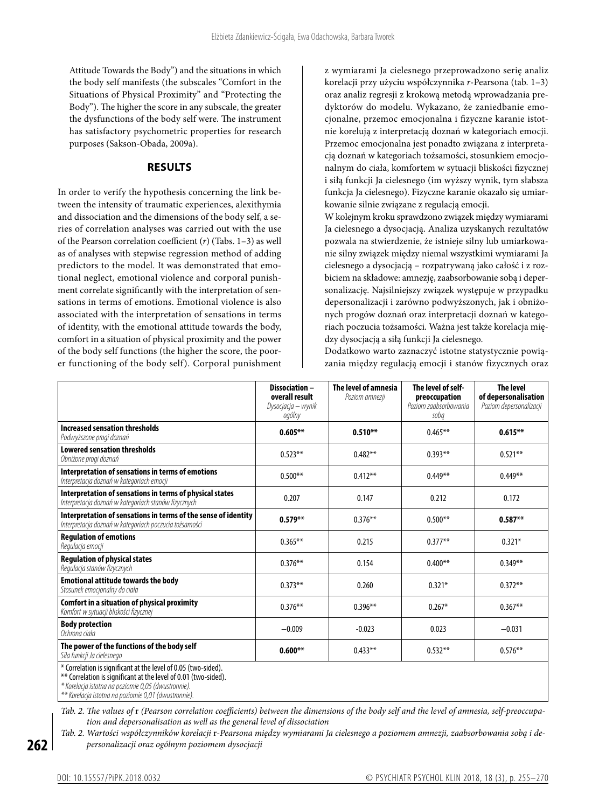Attitude Towards the Body") and the situations in which the body self manifests (the subscales "Comfort in the Situations of Physical Proximity" and "Protecting the Body"). The higher the score in any subscale, the greater the dysfunctions of the body self were. The instrument has satisfactory psychometric properties for research purposes (Sakson-Obada, 2009a).

#### **RESULTS**

In order to verify the hypothesis concerning the link between the intensity of traumatic experiences, alexithymia and dissociation and the dimensions of the body self, a series of correlation analyses was carried out with the use of the Pearson correlation coefficient (*r*) (Tabs. 1–3) as well as of analyses with stepwise regression method of adding predictors to the model. It was demonstrated that emotional neglect, emotional violence and corporal punishment correlate significantly with the interpretation of sensations in terms of emotions. Emotional violence is also associated with the interpretation of sensations in terms of identity, with the emotional attitude towards the body, comfort in a situation of physical proximity and the power of the body self functions (the higher the score, the poorer functioning of the body self). Corporal punishment z wymiarami Ja cielesnego przeprowadzono serię analiz korelacji przy użyciu współczynnika *r*-Pearsona (tab. 1–3) oraz analiz regresji z krokową metodą wprowadzania predyktorów do modelu. Wykazano, że zaniedbanie emocjonalne, przemoc emocjonalna i fizyczne karanie istotnie korelują z interpretacją doznań w kategoriach emocji. Przemoc emocjonalna jest ponadto związana z interpretacją doznań w kategoriach tożsamości, stosunkiem emocjonalnym do ciała, komfortem w sytuacji bliskości fizycznej i siłą funkcji Ja cielesnego (im wyższy wynik, tym słabsza funkcja Ja cielesnego). Fizyczne karanie okazało się umiarkowanie silnie związane z regulacją emocji.

W kolejnym kroku sprawdzono związek między wymiarami Ja cielesnego a dysocjacją. Analiza uzyskanych rezultatów pozwala na stwierdzenie, że istnieje silny lub umiarkowanie silny związek między niemal wszystkimi wymiarami Ja cielesnego a dysocjacją – rozpatrywaną jako całość i z rozbiciem na składowe: amnezję, zaabsorbowanie sobą i depersonalizację. Najsilniejszy związek występuje w przypadku depersonalizacji i zarówno podwyższonych, jak i obniżonych progów doznań oraz interpretacji doznań w kategoriach poczucia tożsamości. Ważna jest także korelacja między dysocjacją a siłą funkcji Ja cielesnego.

Dodatkowo warto zaznaczyć istotne statystycznie powiązania między regulacją emocji i stanów fizycznych oraz

|                                                                                                                                   | Dissociation-<br>overall result<br>Dysocjacja – wynik<br>ogólny | The level of amnesia<br>Poziom amnezji | The level of self-<br>preoccupation<br>Poziom zaabsorbowania<br>soba | <b>The level</b><br>of depersonalisation<br>Poziom depersonalizacji |
|-----------------------------------------------------------------------------------------------------------------------------------|-----------------------------------------------------------------|----------------------------------------|----------------------------------------------------------------------|---------------------------------------------------------------------|
| Increased sensation thresholds<br>Podwyższone progi doznań                                                                        | $0.605***$                                                      | $0.510***$                             | $0.465***$                                                           | $0.615***$                                                          |
| <b>Lowered sensation thresholds</b><br>Obniżone progi doznań                                                                      | $0.523**$                                                       | $0.482**$                              | $0.393**$                                                            | $0.521***$                                                          |
| Interpretation of sensations in terms of emotions<br>Interpretacja doznań w kategoriach emocji                                    | $0.500**$                                                       | $0.412**$                              | $0.449**$                                                            | $0.449**$                                                           |
| Interpretation of sensations in terms of physical states<br>Interpretacja doznań w kategoriach stanów fizycznych                  | 0.207                                                           | 0.147                                  | 0.212                                                                | 0.172                                                               |
| Interpretation of sensations in terms of the sense of identity<br>Interpretacja doznań w kategoriach poczucia tożsamości          | $0.579***$                                                      | $0.376**$                              | $0.500**$                                                            | $0.587**$                                                           |
| <b>Regulation of emotions</b><br>Regulacja emocji                                                                                 | $0.365***$                                                      | 0.215                                  | $0.377**$                                                            | $0.321*$                                                            |
| <b>Regulation of physical states</b><br>Regulacja stanów fizycznych                                                               | $0.376**$                                                       | 0.154                                  | $0.400**$                                                            | $0.349**$                                                           |
| <b>Emotional attitude towards the body</b><br>Stosunek emocjonalny do ciała                                                       | $0.373**$                                                       | 0.260                                  | $0.321*$                                                             | $0.372**$                                                           |
| Comfort in a situation of physical proximity<br>Komfort w sytuacji bliskości fizycznej                                            | $0.376**$                                                       | $0.396**$                              | $0.267*$                                                             | $0.367**$                                                           |
| <b>Body protection</b><br>Ochrona ciała                                                                                           | $-0.009$                                                        | $-0.023$                               | 0.023                                                                | $-0.031$                                                            |
| The power of the functions of the body self<br>Siła funkcji Ja cielesnego                                                         | $0.600**$                                                       | $0.433**$                              | $0.532**$                                                            | $0.576***$                                                          |
| * Correlation is significant at the level of 0.05 (two-sided).<br>** Correlation is significant at the level of 0.01 (two-sided). |                                                                 |                                        |                                                                      |                                                                     |

*\* Korelacja istotna na poziomie 0,05 (dwustronnie). \*\* Korelacja istotna na poziomie 0,01 (dwustronnie).*

*Tab. 2. The values of* r *(Pearson correlation coefficients) between the dimensions of the body self and the level of amnesia, self-preoccupation and depersonalisation as well as the general level of dissociation*

*Tab. 2. Wartości współczynników korelacji* r*-Pearsona między wymiarami Ja cielesnego a poziomem amnezji, zaabsorbowania sobą i depersonalizacji oraz ogólnym poziomem dysocjacji*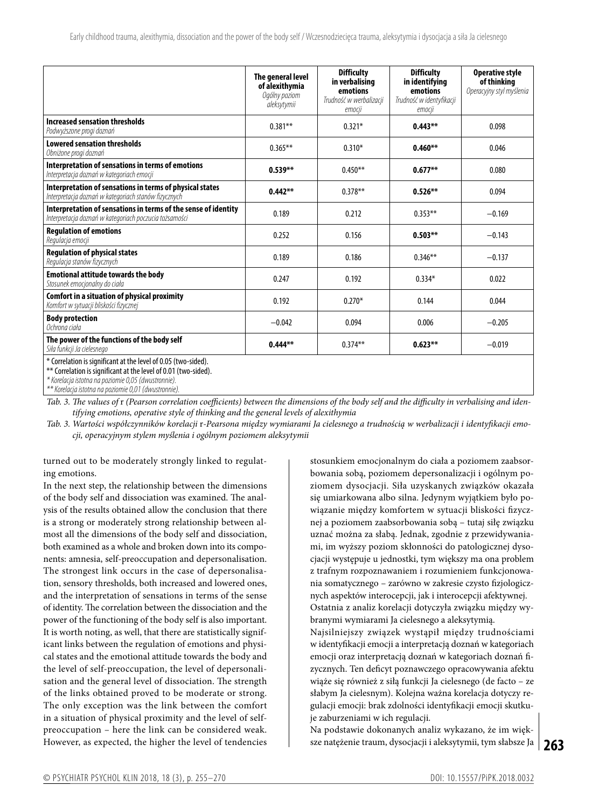|                                                                                                                          | The general level<br>of alexithymia<br>Ogólny poziom<br>aleksytymii | <b>Difficulty</b><br>in verbalising<br>emotions<br>Trudność w werbalizacji<br>emocji | <b>Difficulty</b><br>in identifying<br>emotions<br>Trudność w identyfikacji<br>emocji | <b>Operative style</b><br>of thinking<br>Operacyjny styl myślenia |
|--------------------------------------------------------------------------------------------------------------------------|---------------------------------------------------------------------|--------------------------------------------------------------------------------------|---------------------------------------------------------------------------------------|-------------------------------------------------------------------|
| Increased sensation thresholds<br>Podwyższone progi doznań                                                               | $0.381**$                                                           | $0.321*$                                                                             | $0.443***$                                                                            | 0.098                                                             |
| <b>Lowered sensation thresholds</b><br>Obniżone progi doznań                                                             | $0.365***$                                                          | $0.310*$                                                                             | $0.460***$                                                                            | 0.046                                                             |
| Interpretation of sensations in terms of emotions<br>Interpretacja doznań w kategoriach emocji                           | $0.539**$                                                           | $0.450**$                                                                            | $0.677**$                                                                             | 0.080                                                             |
| Interpretation of sensations in terms of physical states<br>Interpretacja doznań w kategoriach stanów fizycznych         | $0.442**$                                                           | $0.378**$                                                                            | $0.526***$                                                                            | 0.094                                                             |
| Interpretation of sensations in terms of the sense of identity<br>Interpretacja doznań w kategoriach poczucia tożsamości | 0.189                                                               | 0.212                                                                                | $0.353**$                                                                             | $-0.169$                                                          |
| <b>Regulation of emotions</b><br>Regulacja emocji                                                                        | 0.252                                                               | 0.156                                                                                | $0.503**$                                                                             | $-0.143$                                                          |
| <b>Regulation of physical states</b><br>Regulacja stanów fizycznych                                                      | 0.189                                                               | 0.186                                                                                | $0.346**$                                                                             | $-0.137$                                                          |
| <b>Emotional attitude towards the body</b><br>Stosunek emocjonalny do ciała                                              | 0.247                                                               | 0.192                                                                                | $0.334*$                                                                              | 0.022                                                             |
| Comfort in a situation of physical proximity<br>Komfort w sytuacji bliskości fizycznej                                   | 0.192                                                               | $0.270*$                                                                             | 0.144                                                                                 | 0.044                                                             |
| <b>Body protection</b><br>Ochrona ciała                                                                                  | $-0.042$                                                            | 0.094                                                                                | 0.006                                                                                 | $-0.205$                                                          |
| The power of the functions of the body self<br>Siła funkcji Ja cielesnego                                                | $0.444**$                                                           | $0.374***$                                                                           | $0.623**$                                                                             | $-0.019$                                                          |
| * Correlation is significant at the level of 0.05 (two-sided).                                                           |                                                                     |                                                                                      |                                                                                       |                                                                   |

\*\* Correlation is significant at the level of 0.01 (two-sided).

*\* Korelacja istotna na poziomie 0,05 (dwustronnie).*

Tab. 3. The values of *r* (Pearson correlation coefficients) between the dimensions of the body self and the difficulty in verbalising and iden*tifying emotions, operative style of thinking and the general levels of alexithymia*

*Tab. 3. Wartości współczynników korelacji* r*-Pearsona między wymiarami Ja cielesnego a trudnością w werbalizacji i identyfikacji emocji, operacyjnym stylem myślenia i ogólnym poziomem aleksytymii*

turned out to be moderately strongly linked to regulating emotions.

In the next step, the relationship between the dimensions of the body self and dissociation was examined. The analysis of the results obtained allow the conclusion that there is a strong or moderately strong relationship between almost all the dimensions of the body self and dissociation, both examined as a whole and broken down into its components: amnesia, self-preoccupation and depersonalisation. The strongest link occurs in the case of depersonalisation, sensory thresholds, both increased and lowered ones, and the interpretation of sensations in terms of the sense of identity. The correlation between the dissociation and the power of the functioning of the body self is also important. It is worth noting, as well, that there are statistically significant links between the regulation of emotions and physical states and the emotional attitude towards the body and the level of self-preoccupation, the level of depersonalisation and the general level of dissociation. The strength of the links obtained proved to be moderate or strong. The only exception was the link between the comfort in a situation of physical proximity and the level of selfpreoccupation – here the link can be considered weak. However, as expected, the higher the level of tendencies stosunkiem emocjonalnym do ciała a poziomem zaabsorbowania sobą, poziomem depersonalizacji i ogólnym poziomem dysocjacji. Siła uzyskanych związków okazała się umiarkowana albo silna. Jedynym wyjątkiem było powiązanie między komfortem w sytuacji bliskości fizycznej a poziomem zaabsorbowania sobą – tutaj siłę związku uznać można za słabą. Jednak, zgodnie z przewidywaniami, im wyższy poziom skłonności do patologicznej dysocjacji występuje u jednostki, tym większy ma ona problem z trafnym rozpoznawaniem i rozumieniem funkcjonowania somatycznego – zarówno w zakresie czysto fizjologicznych aspektów interocepcji, jak i interocepcji afektywnej. Ostatnia z analiz korelacji dotyczyła związku między wybranymi wymiarami Ja cielesnego a aleksytymią.

Najsilniejszy związek wystąpił między trudnościami w identyfikacji emocji a interpretacją doznań w kategoriach emocji oraz interpretacją doznań w kategoriach doznań fizycznych. Ten deficyt poznawczego opracowywania afektu wiąże się również z siłą funkcji Ja cielesnego (de facto – ze słabym Ja cielesnym). Kolejna ważna korelacja dotyczy regulacji emocji: brak zdolności identyfikacji emocji skutkuje zaburzeniami w ich regulacji.

Na podstawie dokonanych analiz wykazano, że im większe natężenie traum, dysocjacji i aleksytymii, tym słabsze Ja

*<sup>\*\*</sup> Korelacja istotna na poziomie 0,01 (dwustronnie).*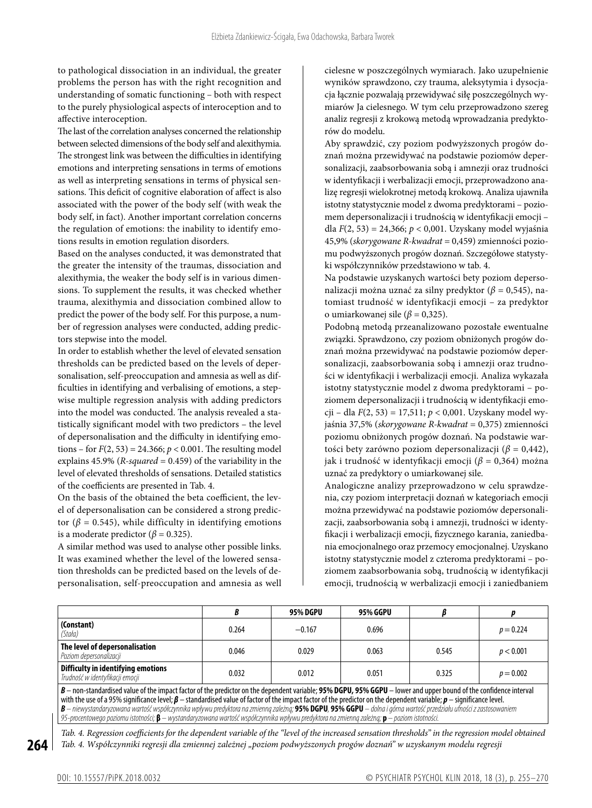to pathological dissociation in an individual, the greater problems the person has with the right recognition and understanding of somatic functioning – both with respect to the purely physiological aspects of interoception and to affective interoception.

The last of the correlation analyses concerned the relationship between selected dimensions of the body self and alexithymia. The strongest link was between the difficulties in identifying emotions and interpreting sensations in terms of emotions as well as interpreting sensations in terms of physical sensations. This deficit of cognitive elaboration of affect is also associated with the power of the body self (with weak the body self, in fact). Another important correlation concerns the regulation of emotions: the inability to identify emotions results in emotion regulation disorders.

Based on the analyses conducted, it was demonstrated that the greater the intensity of the traumas, dissociation and alexithymia, the weaker the body self is in various dimensions. To supplement the results, it was checked whether trauma, alexithymia and dissociation combined allow to predict the power of the body self. For this purpose, a number of regression analyses were conducted, adding predictors stepwise into the model.

In order to establish whether the level of elevated sensation thresholds can be predicted based on the levels of depersonalisation, self-preoccupation and amnesia as well as difficulties in identifying and verbalising of emotions, a stepwise multiple regression analysis with adding predictors into the model was conducted. The analysis revealed a statistically significant model with two predictors – the level of depersonalisation and the difficulty in identifying emotions – for  $F(2, 53) = 24.366$ ;  $p < 0.001$ . The resulting model explains 45.9% (*R-squared* = 0.459) of the variability in the level of elevated thresholds of sensations. Detailed statistics of the coefficients are presented in Tab. 4.

On the basis of the obtained the beta coefficient, the level of depersonalisation can be considered a strong predictor ( $β = 0.545$ ), while difficulty in identifying emotions is a moderate predictor ( $\beta$  = 0.325).

A similar method was used to analyse other possible links. It was examined whether the level of the lowered sensation thresholds can be predicted based on the levels of depersonalisation, self-preoccupation and amnesia as well cielesne w poszczególnych wymiarach. Jako uzupełnienie wyników sprawdzono, czy trauma, aleksytymia i dysocjacja łącznie pozwalają przewidywać siłę poszczególnych wymiarów Ja cielesnego. W tym celu przeprowadzono szereg analiz regresji z krokową metodą wprowadzania predyktorów do modelu.

Aby sprawdzić, czy poziom podwyższonych progów doznań można przewidywać na podstawie poziomów depersonalizacji, zaabsorbowania sobą i amnezji oraz trudności w identyfikacji i werbalizacji emocji, przeprowadzono analizę regresji wielokrotnej metodą krokową. Analiza ujawniła istotny statystycznie model z dwoma predyktorami – poziomem depersonalizacji i trudnością w identyfikacji emocji – dla *F*(2, 53) = 24,366; *p* < 0,001. Uzyskany model wyjaśnia 45,9% (*skorygowane R-kwadrat* = 0,459) zmienności poziomu podwyższonych progów doznań. Szczegółowe statystyki współczynników przedstawiono w tab. 4.

Na podstawie uzyskanych wartości bety poziom depersonalizacji można uznać za silny predyktor (*β* = 0,545), natomiast trudność w identyfikacji emocji – za predyktor o umiarkowanej sile ( $\beta$  = 0,325).

Podobną metodą przeanalizowano pozostałe ewentualne związki. Sprawdzono, czy poziom obniżonych progów doznań można przewidywać na podstawie poziomów depersonalizacji, zaabsorbowania sobą i amnezji oraz trudności w identyfikacji i werbalizacji emocji. Analiza wykazała istotny statystycznie model z dwoma predyktorami – poziomem depersonalizacji i trudnością w identyfikacji emocji – dla *F*(2, 53) = 17,511; *p* < 0,001. Uzyskany model wyjaśnia 37,5% (*skorygowane R-kwadrat* = 0,375) zmienności poziomu obniżonych progów doznań. Na podstawie wartości bety zarówno poziom depersonalizacji (*β* = 0,442), jak i trudność w identyfikacji emocji (*β* = 0,364) można uznać za predyktory o umiarkowanej sile.

Analogiczne analizy przeprowadzono w celu sprawdzenia, czy poziom interpretacji doznań w kategoriach emocji można przewidywać na podstawie poziomów depersonalizacji, zaabsorbowania sobą i amnezji, trudności w identyfikacji i werbalizacji emocji, fizycznego karania, zaniedbania emocjonalnego oraz przemocy emocjonalnej. Uzyskano istotny statystycznie model z czteroma predyktorami – poziomem zaabsorbowania sobą, trudnością w identyfikacji emocji, trudnością w werbalizacji emocji i zaniedbaniem

|                                                                                                                                                                   |       | <b>95% DGPU</b> | 95% GGPU |       |             |
|-------------------------------------------------------------------------------------------------------------------------------------------------------------------|-------|-----------------|----------|-------|-------------|
| (Constant)<br>(Stała)                                                                                                                                             | 0.264 | $-0.167$        | 0.696    |       | $p = 0.224$ |
| The level of depersonalisation<br>Poziom depersonalizacii                                                                                                         | 0.046 | 0.029           | 0.063    | 0.545 | p < 0.001   |
| Difficulty in identifying emotions<br>Trudność w identyfikacji emocji                                                                                             | 0.032 | 0.012           | 0.051    | 0.325 | $p = 0.002$ |
| B – non-standardised value of the impact factor of the predictor on the dependent variable; 95% DGPU, 95% GGPU – lower and upper bound of the confidence interval |       |                 |          |       |             |

with the use of a95% significance level; *β* – standardised value of factor of the impact factor of the predictor on the dependent variable; *p* – significance level. *B – niewystandaryzowana wartość współczynnika wpływu predyktora na zmienną zależną;* **95% DGPU***,* **95% GGPU** *– dolna igórna wartość przedziału ufności z zastosowaniem 95-procentowego poziomu istotności;* **β** *– wystandaryzowana wartość współczynnika wpływu predyktora na zmienną zależną;* **p** *– poziom istotności.*

*Tab. 4. Regression coefficients for the dependent variable of the "level of the increased sensation thresholds" in the regression model obtained Tab. 4. Współczynniki regresji dla zmiennej zależnej "poziom podwyższonych progów doznań" w uzyskanym modelu regresji*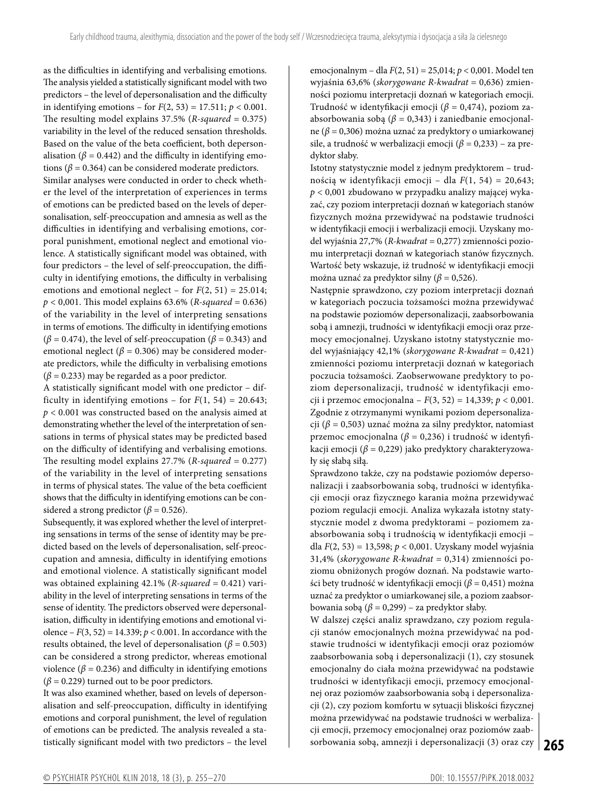as the difficulties in identifying and verbalising emotions. The analysis yielded a statistically significant model with two predictors – the level of depersonalisation and the difficulty in identifying emotions – for  $F(2, 53) = 17.511$ ;  $p < 0.001$ . The resulting model explains 37.5% (*R-squared* = 0.375) variability in the level of the reduced sensation thresholds. Based on the value of the beta coefficient, both depersonalisation ( $\beta$  = 0.442) and the difficulty in identifying emotions ( $\beta$  = 0.364) can be considered moderate predictors. Similar analyses were conducted in order to check whether the level of the interpretation of experiences in terms of emotions can be predicted based on the levels of depersonalisation, self-preoccupation and amnesia as well as the difficulties in identifying and verbalising emotions, corporal punishment, emotional neglect and emotional violence. A statistically significant model was obtained, with four predictors – the level of self-preoccupation, the difficulty in identifying emotions, the difficulty in verbalising emotions and emotional neglect – for  $F(2, 51) = 25.014$ ; *p* < 0,001. This model explains 63.6% (*R-squared* = 0.636) of the variability in the level of interpreting sensations in terms of emotions. The difficulty in identifying emotions  $(\beta = 0.474)$ , the level of self-preoccupation ( $\beta = 0.343$ ) and

emotional neglect ( $\beta$  = 0.306) may be considered moderate predictors, while the difficulty in verbalising emotions  $(\beta = 0.233)$  may be regarded as a poor predictor.

A statistically significant model with one predictor – difficulty in identifying emotions – for  $F(1, 54) = 20.643$ ; *p* < 0.001 was constructed based on the analysis aimed at demonstrating whether the level of the interpretation of sensations in terms of physical states may be predicted based on the difficulty of identifying and verbalising emotions. The resulting model explains 27.7% (*R-squared* = 0.277) of the variability in the level of interpreting sensations in terms of physical states. The value of the beta coefficient shows that the difficulty in identifying emotions can be considered a strong predictor ( $\beta$  = 0.526).

Subsequently, it was explored whether the level of interpreting sensations in terms of the sense of identity may be predicted based on the levels of depersonalisation, self-preoccupation and amnesia, difficulty in identifying emotions and emotional violence. A statistically significant model was obtained explaining 42.1% (*R-squared* = 0.421) variability in the level of interpreting sensations in terms of the sense of identity. The predictors observed were depersonalisation, difficulty in identifying emotions and emotional violence –  $F(3, 52) = 14.339; p < 0.001$ . In accordance with the results obtained, the level of depersonalisation ( $\beta$  = 0.503) can be considered a strong predictor, whereas emotional violence ( $\beta$  = 0.236) and difficulty in identifying emotions  $(\beta = 0.229)$  turned out to be poor predictors.

It was also examined whether, based on levels of depersonalisation and self-preoccupation, difficulty in identifying emotions and corporal punishment, the level of regulation of emotions can be predicted. The analysis revealed a statistically significant model with two predictors – the level emocjonalnym – dla *F*(2, 51) = 25,014; *p* < 0,001. Model ten wyjaśnia 63,6% (*skorygowane R-kwadrat* = 0,636) zmienności poziomu interpretacji doznań w kategoriach emocji. Trudność w identyfikacji emocji (*β* = 0,474), poziom zaabsorbowania sobą (*β* = 0,343) i zaniedbanie emocjonalne (*β* = 0,306) można uznać za predyktory o umiarkowanej sile, a trudność w werbalizacji emocji (*β* = 0,233) – za predyktor słaby.

Istotny statystycznie model z jednym predyktorem – trudnością w identyfikacji emocji – dla *F*(1, 54) = 20,643; *p* < 0,001 zbudowano w przypadku analizy mającej wykazać, czy poziom interpretacji doznań w kategoriach stanów fizycznych można przewidywać na podstawie trudności w identyfikacji emocji i werbalizacji emocji. Uzyskany model wyjaśnia 27,7% (*R-kwadrat* = 0,277) zmienności poziomu interpretacji doznań w kategoriach stanów fizycznych. Wartość bety wskazuje, iż trudność w identyfikacji emocji można uznać za predyktor silny (*β* = 0,526).

Następnie sprawdzono, czy poziom interpretacji doznań w kategoriach poczucia tożsamości można przewidywać na podstawie poziomów depersonalizacji, zaabsorbowania sobą i amnezji, trudności w identyfikacji emocji oraz przemocy emocjonalnej. Uzyskano istotny statystycznie model wyjaśniający 42,1% (*skorygowane R-kwadrat* = 0,421) zmienności poziomu interpretacji doznań w kategoriach poczucia tożsamości. Zaobserwowane predyktory to poziom depersonalizacji, trudność w identyfikacji emocji i przemoc emocjonalna – *F*(3, 52) = 14,339; *p* < 0,001. Zgodnie z otrzymanymi wynikami poziom depersonalizacji (*β* = 0,503) uznać można za silny predyktor, natomiast przemoc emocjonalna (*β* = 0,236) i trudność w identyfikacji emocji (*β* = 0,229) jako predyktory charakteryzowały się słabą siłą.

Sprawdzono także, czy na podstawie poziomów depersonalizacji i zaabsorbowania sobą, trudności w identyfikacji emocji oraz fizycznego karania można przewidywać poziom regulacji emocji. Analiza wykazała istotny statystycznie model z dwoma predyktorami – poziomem zaabsorbowania sobą i trudnością w identyfikacji emocji – dla *F*(2, 53) = 13,598; *p* < 0,001. Uzyskany model wyjaśnia 31,4% (*skorygowane R-kwadrat* = 0,314) zmienności poziomu obniżonych progów doznań. Na podstawie wartości bety trudność w identyfikacji emocji (*β* = 0,451) można uznać za predyktor o umiarkowanej sile, a poziom zaabsorbowania sobą ( $\beta$  = 0,299) – za predyktor słaby.

**265** sorbowania sobą, amnezji i depersonalizacji (3) oraz czy W dalszej części analiz sprawdzano, czy poziom regulacji stanów emocjonalnych można przewidywać na podstawie trudności w identyfikacji emocji oraz poziomów zaabsorbowania sobą i depersonalizacji (1), czy stosunek emocjonalny do ciała można przewidywać na podstawie trudności w identyfikacji emocji, przemocy emocjonalnej oraz poziomów zaabsorbowania sobą i depersonalizacji (2), czy poziom komfortu w sytuacji bliskości fizycznej można przewidywać na podstawie trudności w werbalizacji emocji, przemocy emocjonalnej oraz poziomów zaab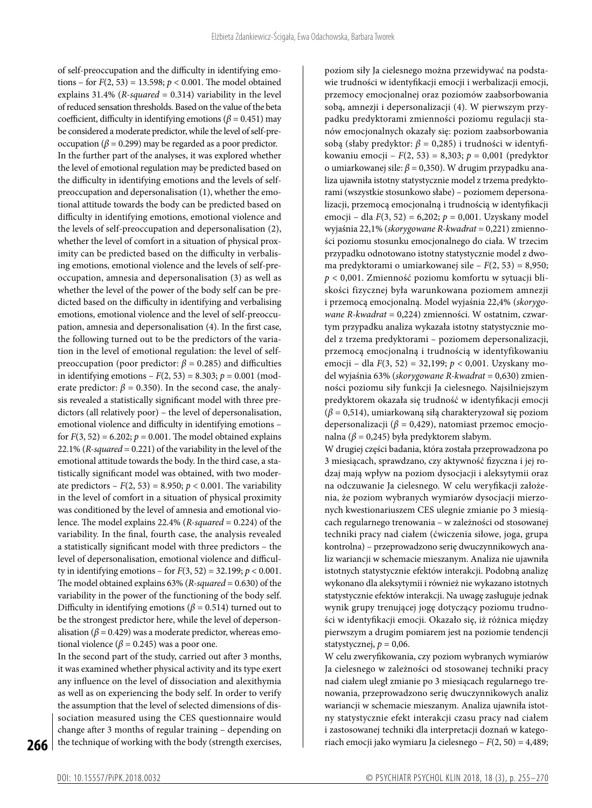of self-preoccupation and the difficulty in identifying emotions – for *F*(2, 53) = 13.598; *p* < 0.001. The model obtained explains 31.4% (*R-squared* = 0.314) variability in the level of reduced sensation thresholds. Based on the value of the beta coefficient, difficulty in identifying emotions ( $\beta$  = 0.451) may be considered a moderate predictor, while the level of self-preoccupation ( $\beta$  = 0.299) may be regarded as a poor predictor. In the further part of the analyses, it was explored whether the level of emotional regulation may be predicted based on the difficulty in identifying emotions and the levels of selfpreoccupation and depersonalisation (1), whether the emotional attitude towards the body can be predicted based on difficulty in identifying emotions, emotional violence and the levels of self-preoccupation and depersonalisation (2), whether the level of comfort in a situation of physical proximity can be predicted based on the difficulty in verbalising emotions, emotional violence and the levels of self-preoccupation, amnesia and depersonalisation (3) as well as whether the level of the power of the body self can be predicted based on the difficulty in identifying and verbalising emotions, emotional violence and the level of self-preoccupation, amnesia and depersonalisation (4). In the first case, the following turned out to be the predictors of the variation in the level of emotional regulation: the level of selfpreoccupation (poor predictor: *β* = 0.285) and difficulties in identifying emotions –  $F(2, 53) = 8.303$ ;  $p = 0.001$  (moderate predictor:  $\beta$  = 0.350). In the second case, the analysis revealed a statistically significant model with three predictors (all relatively poor) – the level of depersonalisation, emotional violence and difficulty in identifying emotions – for  $F(3, 52) = 6.202$ ;  $p = 0.001$ . The model obtained explains 22.1% (*R-squared* = 0.221) of the variability in the level of the emotional attitude towards the body. In the third case, a statistically significant model was obtained, with two moderate predictors –  $F(2, 53) = 8.950$ ;  $p < 0.001$ . The variability in the level of comfort in a situation of physical proximity was conditioned by the level of amnesia and emotional violence. The model explains 22.4% (*R-squared* = 0.224) of the variability. In the final, fourth case, the analysis revealed a statistically significant model with three predictors – the level of depersonalisation, emotional violence and difficulty in identifying emotions – for *F*(3, 52) = 32.199; *p* < 0.001. The model obtained explains 63% (*R-squared* = 0.630) of the variability in the power of the functioning of the body self. Difficulty in identifying emotions ( $\beta$  = 0.514) turned out to be the strongest predictor here, while the level of depersonalisation ( $\beta$  = 0.429) was a moderate predictor, whereas emotional violence ( $\beta$  = 0.245) was a poor one.

In the second part of the study, carried out after 3 months, it was examined whether physical activity and its type exert any influence on the level of dissociation and alexithymia as well as on experiencing the body self. In order to verify the assumption that the level of selected dimensions of dissociation measured using the CES questionnaire would change after 3 months of regular training – depending on the technique of working with the body (strength exercises, poziom siły Ja cielesnego można przewidywać na podstawie trudności w identyfikacji emocji i werbalizacji emocji, przemocy emocjonalnej oraz poziomów zaabsorbowania sobą, amnezji i depersonalizacji (4). W pierwszym przypadku predyktorami zmienności poziomu regulacji stanów emocjonalnych okazały się: poziom zaabsorbowania sobą (słaby predyktor: *β* = 0,285) i trudności w identyfikowaniu emocji – *F*(2, 53) = 8,303; *p* = 0,001 (predyktor o umiarkowanej sile: *β* = 0,350). W drugim przypadku analiza ujawniła istotny statystycznie model z trzema predyktorami (wszystkie stosunkowo słabe) – poziomem depersonalizacji, przemocą emocjonalną i trudnością w identyfikacji emocji – dla *F*(3, 52) = 6,202; *p* = 0,001. Uzyskany model wyjaśnia 22,1% (*skorygowane R-kwadrat* = 0,221) zmienności poziomu stosunku emocjonalnego do ciała. W trzecim przypadku odnotowano istotny statystycznie model z dwoma predyktorami o umiarkowanej sile – *F*(2, 53) = 8,950; *p* < 0,001. Zmienność poziomu komfortu w sytuacji bliskości fizycznej była warunkowana poziomem amnezji i przemocą emocjonalną. Model wyjaśnia 22,4% (*skorygowane R-kwadrat* = 0,224) zmienności. W ostatnim, czwartym przypadku analiza wykazała istotny statystycznie model z trzema predyktorami – poziomem depersonalizacji, przemocą emocjonalną i trudnością w identyfikowaniu emocji – dla *F*(3, 52) = 32,199; *p* < 0,001. Uzyskany model wyjaśnia 63% (*skorygowane R-kwadrat* = 0,630) zmienności poziomu siły funkcji Ja cielesnego. Najsilniejszym predyktorem okazała się trudność w identyfikacji emocji (*β* = 0,514), umiarkowaną siłą charakteryzował się poziom depersonalizacji (*β* = 0,429), natomiast przemoc emocjonalna ( $\beta$  = 0,245) była predyktorem słabym.

W drugiej części badania, która została przeprowadzona po 3 miesiącach, sprawdzano, czy aktywność fizyczna i jej rodzaj mają wpływ na poziom dysocjacji i aleksytymii oraz na odczuwanie Ja cielesnego. W celu weryfikacji założenia, że poziom wybranych wymiarów dysocjacji mierzonych kwestionariuszem CES ulegnie zmianie po 3 miesiącach regularnego trenowania – w zależności od stosowanej techniki pracy nad ciałem (ćwiczenia siłowe, joga, grupa kontrolna) – przeprowadzono serię dwuczynnikowych analiz wariancji w schemacie mieszanym. Analiza nie ujawniła istotnych statystycznie efektów interakcji. Podobną analizę wykonano dla aleksytymii i również nie wykazano istotnych statystycznie efektów interakcji. Na uwagę zasługuje jednak wynik grupy trenującej jogę dotyczący poziomu trudności w identyfikacji emocji. Okazało się, iż różnica między pierwszym a drugim pomiarem jest na poziomie tendencji statystycznej,  $p = 0.06$ .

W celu zweryfikowania, czy poziom wybranych wymiarów Ja cielesnego w zależności od stosowanej techniki pracy nad ciałem uległ zmianie po 3 miesiącach regularnego trenowania, przeprowadzono serię dwuczynnikowych analiz wariancji w schemacie mieszanym. Analiza ujawniła istotny statystycznie efekt interakcji czasu pracy nad ciałem i zastosowanej techniki dla interpretacji doznań w kategoriach emocji jako wymiaru Ja cielesnego – *F*(2, 50) = 4,489;

**266**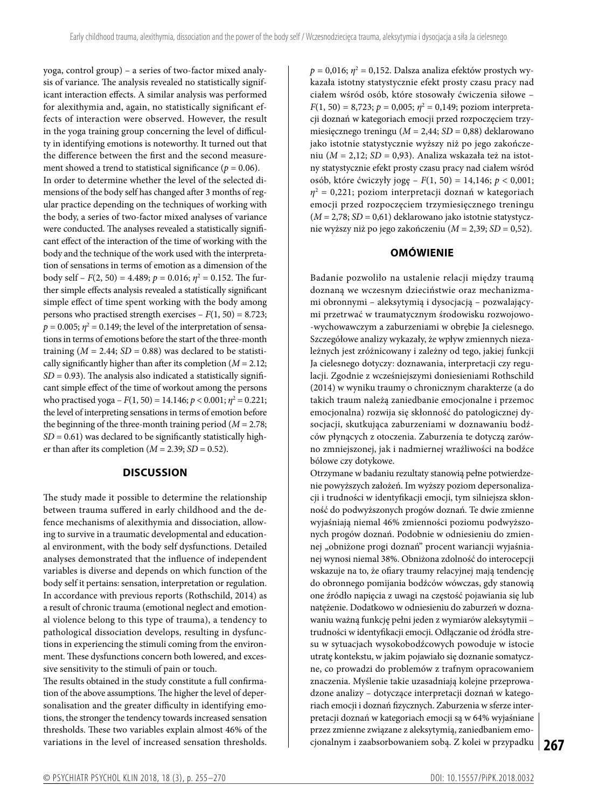yoga, control group) – a series of two-factor mixed analysis of variance. The analysis revealed no statistically significant interaction effects. A similar analysis was performed for alexithymia and, again, no statistically significant effects of interaction were observed. However, the result in the yoga training group concerning the level of difficulty in identifying emotions is noteworthy. It turned out that the difference between the first and the second measurement showed a trend to statistical significance ( $p = 0.06$ ). In order to determine whether the level of the selected dimensions of the body self has changed after 3 months of regular practice depending on the techniques of working with the body, a series of two-factor mixed analyses of variance were conducted. The analyses revealed a statistically significant effect of the interaction of the time of working with the body and the technique of the work used with the interpretation of sensations in terms of emotion as a dimension of the body self – *F*(2, 50) = 4.489; *p* = 0.016; *η*<sup>2</sup> = 0.152. The further simple effects analysis revealed a statistically significant simple effect of time spent working with the body among persons who practised strength exercises  $-F(1, 50) = 8.723$ ;  $p = 0.005;$   $\eta^2 = 0.149;$  the level of the interpretation of sensations in terms of emotions before the start of the three-month training  $(M = 2.44; SD = 0.88)$  was declared to be statistically significantly higher than after its completion (*M* = 2.12;  $SD = 0.93$ ). The analysis also indicated a statistically significant simple effect of the time of workout among the persons who practised yoga –  $F(1, 50) = 14.146; p < 0.001; \eta^2 = 0.221;$ the level of interpreting sensations in terms of emotion before the beginning of the three-month training period (*M* = 2.78;  $SD = 0.61$ ) was declared to be significantly statistically higher than after its completion  $(M = 2.39; SD = 0.52)$ .

# **DISCUSSION**

The study made it possible to determine the relationship between trauma suffered in early childhood and the defence mechanisms of alexithymia and dissociation, allowing to survive in a traumatic developmental and educational environment, with the body self dysfunctions. Detailed analyses demonstrated that the influence of independent variables is diverse and depends on which function of the body self it pertains: sensation, interpretation or regulation. In accordance with previous reports (Rothschild, 2014) as a result of chronic trauma (emotional neglect and emotional violence belong to this type of trauma), a tendency to pathological dissociation develops, resulting in dysfunctions in experiencing the stimuli coming from the environment. These dysfunctions concern both lowered, and excessive sensitivity to the stimuli of pain or touch.

The results obtained in the study constitute a full confirmation of the above assumptions. The higher the level of depersonalisation and the greater difficulty in identifying emotions, the stronger the tendency towards increased sensation thresholds. These two variables explain almost 46% of the variations in the level of increased sensation thresholds.

 $p = 0.016$ ;  $η<sup>2</sup> = 0.152$ . Dalsza analiza efektów prostych wykazała istotny statystycznie efekt prosty czasu pracy nad ciałem wśród osób, które stosowały ćwiczenia siłowe –  $F(1, 50) = 8,723; p = 0,005; \eta^2 = 0,149;$  poziom interpretacji doznań w kategoriach emocji przed rozpoczęciem trzymiesięcznego treningu (*M* = 2,44; *SD* = 0,88) deklarowano jako istotnie statystycznie wyższy niż po jego zakończeniu (*M* = 2,12; *SD* = 0,93). Analiza wskazała też na istotny statystycznie efekt prosty czasu pracy nad ciałem wśród osób, które ćwiczyły jogę – *F*(1, 50) = 14,146; *p* < 0,001; *η*2 = 0,221; poziom interpretacji doznań w kategoriach emocji przed rozpoczęciem trzymiesięcznego treningu (*M* = 2,78; *SD* = 0,61) deklarowano jako istotnie statystycznie wyższy niż po jego zakończeniu (*M* = 2,39; *SD* = 0,52).

# **OMÓWIENIE**

Badanie pozwoliło na ustalenie relacji między traumą doznaną we wczesnym dzieciństwie oraz mechanizmami obronnymi – aleksytymią i dysocjacją – pozwalającymi przetrwać w traumatycznym środowisku rozwojowo- -wychowawczym a zaburzeniami w obrębie Ja cielesnego. Szczegółowe analizy wykazały, że wpływ zmiennych niezależnych jest zróżnicowany i zależny od tego, jakiej funkcji Ja cielesnego dotyczy: doznawania, interpretacji czy regulacji. Zgodnie z wcześniejszymi doniesieniami Rothschild (2014) w wyniku traumy o chronicznym charakterze (a do takich traum należą zaniedbanie emocjonalne i przemoc emocjonalna) rozwija się skłonność do patologicznej dysocjacji, skutkująca zaburzeniami w doznawaniu bodźców płynących z otoczenia. Zaburzenia te dotyczą zarówno zmniejszonej, jak i nadmiernej wrażliwości na bodźce bólowe czy dotykowe.

**267** cjonalnym i zaabsorbowaniem sobą. Z kolei w przypadku Otrzymane w badaniu rezultaty stanowią pełne potwierdzenie powyższych założeń. Im wyższy poziom depersonalizacji i trudności w identyfikacji emocji, tym silniejsza skłonność do podwyższonych progów doznań. Te dwie zmienne wyjaśniają niemal 46% zmienności poziomu podwyższonych progów doznań. Podobnie w odniesieniu do zmiennej "obniżone progi doznań" procent wariancji wyjaśnianej wynosi niemal 38%. Obniżona zdolność do interocepcji wskazuje na to, że ofiary traumy relacyjnej mają tendencję do obronnego pomijania bodźców wówczas, gdy stanowią one źródło napięcia z uwagi na częstość pojawiania się lub natężenie. Dodatkowo w odniesieniu do zaburzeń w doznawaniu ważną funkcję pełni jeden z wymiarów aleksytymii – trudności w identyfikacji emocji. Odłączanie od źródła stresu w sytuacjach wysokobodźcowych powoduje w istocie utratę kontekstu, w jakim pojawiało się doznanie somatyczne, co prowadzi do problemów z trafnym opracowaniem znaczenia. Myślenie takie uzasadniają kolejne przeprowadzone analizy – dotyczące interpretacji doznań w kategoriach emocji i doznań fizycznych. Zaburzenia w sferze interpretacji doznań w kategoriach emocji są w 64% wyjaśniane przez zmienne związane z aleksytymią, zaniedbaniem emo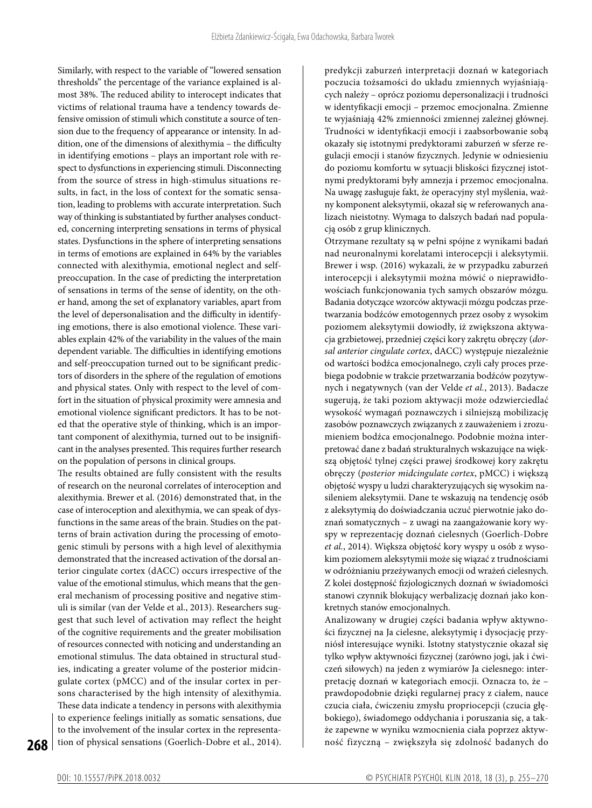Similarly, with respect to the variable of "lowered sensation thresholds" the percentage of the variance explained is almost 38%. The reduced ability to interocept indicates that victims of relational trauma have a tendency towards defensive omission of stimuli which constitute a source of tension due to the frequency of appearance or intensity. In addition, one of the dimensions of alexithymia – the difficulty in identifying emotions – plays an important role with respect to dysfunctions in experiencing stimuli. Disconnecting from the source of stress in high-stimulus situations results, in fact, in the loss of context for the somatic sensation, leading to problems with accurate interpretation. Such way of thinking is substantiated by further analyses conducted, concerning interpreting sensations in terms of physical states. Dysfunctions in the sphere of interpreting sensations in terms of emotions are explained in 64% by the variables connected with alexithymia, emotional neglect and selfpreoccupation. In the case of predicting the interpretation of sensations in terms of the sense of identity, on the other hand, among the set of explanatory variables, apart from the level of depersonalisation and the difficulty in identifying emotions, there is also emotional violence. These variables explain 42% of the variability in the values of the main dependent variable. The difficulties in identifying emotions and self-preoccupation turned out to be significant predictors of disorders in the sphere of the regulation of emotions and physical states. Only with respect to the level of comfort in the situation of physical proximity were amnesia and emotional violence significant predictors. It has to be noted that the operative style of thinking, which is an important component of alexithymia, turned out to be insignificant in the analyses presented. This requires further research on the population of persons in clinical groups.

The results obtained are fully consistent with the results of research on the neuronal correlates of interoception and alexithymia. Brewer et al. (2016) demonstrated that, in the case of interoception and alexithymia, we can speak of dysfunctions in the same areas of the brain. Studies on the patterns of brain activation during the processing of emotogenic stimuli by persons with a high level of alexithymia demonstrated that the increased activation of the dorsal anterior cingulate cortex (dACC) occurs irrespective of the value of the emotional stimulus, which means that the general mechanism of processing positive and negative stimuli is similar (van der Velde et al., 2013). Researchers suggest that such level of activation may reflect the height of the cognitive requirements and the greater mobilisation of resources connected with noticing and understanding an emotional stimulus. The data obtained in structural studies, indicating a greater volume of the posterior midcingulate cortex (pMCC) and of the insular cortex in persons characterised by the high intensity of alexithymia. These data indicate a tendency in persons with alexithymia to experience feelings initially as somatic sensations, due to the involvement of the insular cortex in the representation of physical sensations (Goerlich-Dobre et al., 2014).

predykcji zaburzeń interpretacji doznań w kategoriach poczucia tożsamości do układu zmiennych wyjaśniających należy – oprócz poziomu depersonalizacji i trudności w identyfikacji emocji – przemoc emocjonalna. Zmienne te wyjaśniają 42% zmienności zmiennej zależnej głównej. Trudności w identyfikacji emocji i zaabsorbowanie sobą okazały się istotnymi predyktorami zaburzeń w sferze regulacji emocji i stanów fizycznych. Jedynie w odniesieniu do poziomu komfortu w sytuacji bliskości fizycznej istotnymi predyktorami były amnezja i przemoc emocjonalna. Na uwagę zasługuje fakt, że operacyjny styl myślenia, ważny komponent aleksytymii, okazał się w referowanych analizach nieistotny. Wymaga to dalszych badań nad populacją osób z grup klinicznych.

Otrzymane rezultaty są w pełni spójne z wynikami badań nad neuronalnymi korelatami interocepcji i aleksytymii. Brewer i wsp. (2016) wykazali, że w przypadku zaburzeń interocepcji i aleksytymii można mówić o nieprawidłowościach funkcjonowania tych samych obszarów mózgu. Badania dotyczące wzorców aktywacji mózgu podczas przetwarzania bodźców emotogennych przez osoby z wysokim poziomem aleksytymii dowiodły, iż zwiększona aktywacja grzbietowej, przedniej części kory zakrętu obręczy (*dorsal anterior cingulate cortex*, dACC) występuje niezależnie od wartości bodźca emocjonalnego, czyli cały proces przebiega podobnie w trakcie przetwarzania bodźców pozytywnych i negatywnych (van der Velde *et al.*, 2013). Badacze sugerują, że taki poziom aktywacji może odzwierciedlać wysokość wymagań poznawczych i silniejszą mobilizację zasobów poznawczych związanych z zauważeniem i zrozumieniem bodźca emocjonalnego. Podobnie można interpretować dane z badań strukturalnych wskazujące na większą objętość tylnej części prawej środkowej kory zakrętu obręczy (*posterior midcingulate cortex*, pMCC) i większą objętość wyspy u ludzi charakteryzujących się wysokim nasileniem aleksytymii. Dane te wskazują na tendencję osób z aleksytymią do doświadczania uczuć pierwotnie jako doznań somatycznych – z uwagi na zaangażowanie kory wyspy w reprezentację doznań cielesnych (Goerlich-Dobre *et al.*, 2014). Większa objętość kory wyspy u osób z wysokim poziomem aleksytymii może się wiązać z trudnościami w odróżnianiu przeżywanych emocji od wrażeń cielesnych. Z kolei dostępność fizjologicznych doznań w świadomości stanowi czynnik blokujący werbalizację doznań jako konkretnych stanów emocjonalnych.

Analizowany w drugiej części badania wpływ aktywności fizycznej na Ja cielesne, aleksytymię i dysocjację przyniósł interesujące wyniki. Istotny statystycznie okazał się tylko wpływ aktywności fizycznej (zarówno jogi, jak i ćwiczeń siłowych) na jeden z wymiarów Ja cielesnego: interpretację doznań w kategoriach emocji. Oznacza to, że – prawdopodobnie dzięki regularnej pracy z ciałem, nauce czucia ciała, ćwiczeniu zmysłu propriocepcji (czucia głębokiego), świadomego oddychania i poruszania się, a także zapewne w wyniku wzmocnienia ciała poprzez aktywność fizyczną – zwiększyła się zdolność badanych do

**268**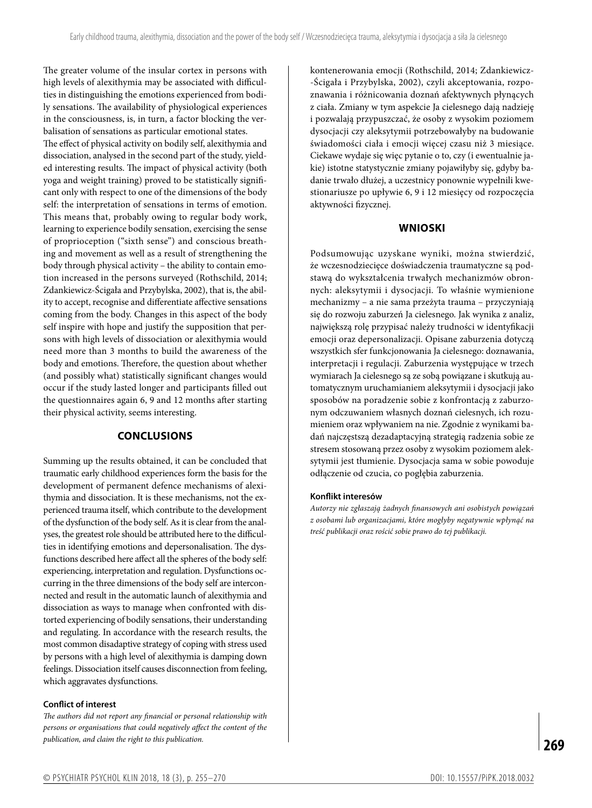The greater volume of the insular cortex in persons with high levels of alexithymia may be associated with difficulties in distinguishing the emotions experienced from bodily sensations. The availability of physiological experiences in the consciousness, is, in turn, a factor blocking the verbalisation of sensations as particular emotional states. The effect of physical activity on bodily self, alexithymia and dissociation, analysed in the second part of the study, yielded interesting results. The impact of physical activity (both yoga and weight training) proved to be statistically significant only with respect to one of the dimensions of the body self: the interpretation of sensations in terms of emotion. This means that, probably owing to regular body work, learning to experience bodily sensation, exercising the sense of proprioception ("sixth sense") and conscious breathing and movement as well as a result of strengthening the body through physical activity – the ability to contain emotion increased in the persons surveyed (Rothschild, 2014; Zdankiewicz-Ścigała and Przybylska, 2002), that is, the ability to accept, recognise and differentiate affective sensations coming from the body. Changes in this aspect of the body self inspire with hope and justify the supposition that persons with high levels of dissociation or alexithymia would need more than 3 months to build the awareness of the body and emotions. Therefore, the question about whether (and possibly what) statistically significant changes would occur if the study lasted longer and participants filled out

### **CONCLUSIONS**

the questionnaires again 6, 9 and 12 months after starting

their physical activity, seems interesting.

Summing up the results obtained, it can be concluded that traumatic early childhood experiences form the basis for the development of permanent defence mechanisms of alexithymia and dissociation. It is these mechanisms, not the experienced trauma itself, which contribute to the development of the dysfunction of the body self. As it is clear from the analyses, the greatest role should be attributed here to the difficulties in identifying emotions and depersonalisation. The dysfunctions described here affect all the spheres of the body self: experiencing, interpretation and regulation. Dysfunctions occurring in the three dimensions of the body self are interconnected and result in the automatic launch of alexithymia and dissociation as ways to manage when confronted with distorted experiencing of bodily sensations, their understanding and regulating. In accordance with the research results, the most common disadaptive strategy of coping with stress used by persons with a high level of alexithymia is damping down feelings. Dissociation itself causes disconnection from feeling, which aggravates dysfunctions.

#### **Conflict of interest**

*The authors did not report any financial or personal relationship with persons or organisations that could negatively affect the content of the publication, and claim the right to this publication.*

kontenerowania emocji (Rothschild, 2014; Zdankiewicz- -Ścigała i Przybylska, 2002), czyli akceptowania, rozpoznawania i różnicowania doznań afektywnych płynących z ciała. Zmiany w tym aspekcie Ja cielesnego dają nadzieję i pozwalają przypuszczać, że osoby z wysokim poziomem dysocjacji czy aleksytymii potrzebowałyby na budowanie świadomości ciała i emocji więcej czasu niż 3 miesiące. Ciekawe wydaje się więc pytanie o to, czy (i ewentualnie jakie) istotne statystycznie zmiany pojawiłyby się, gdyby badanie trwało dłużej, a uczestnicy ponownie wypełnili kwestionariusze po upływie 6, 9 i 12 miesięcy od rozpoczęcia aktywności fizycznej.

#### **WNIOSKI**

Podsumowując uzyskane wyniki, można stwierdzić, że wczesnodziecięce doświadczenia traumatyczne są podstawą do wykształcenia trwałych mechanizmów obronnych: aleksytymii i dysocjacji. To właśnie wymienione mechanizmy – a nie sama przeżyta trauma – przyczyniają się do rozwoju zaburzeń Ja cielesnego. Jak wynika z analiz, największą rolę przypisać należy trudności w identyfikacji emocji oraz depersonalizacji. Opisane zaburzenia dotyczą wszystkich sfer funkcjonowania Ja cielesnego: doznawania, interpretacji i regulacji. Zaburzenia występujące w trzech wymiarach Ja cielesnego są ze sobą powiązane i skutkują automatycznym uruchamianiem aleksytymii i dysocjacji jako sposobów na poradzenie sobie z konfrontacją z zaburzonym odczuwaniem własnych doznań cielesnych, ich rozumieniem oraz wpływaniem na nie. Zgodnie z wynikami badań najczęstszą dezadaptacyjną strategią radzenia sobie ze stresem stosowaną przez osoby z wysokim poziomem aleksytymii jest tłumienie. Dysocjacja sama w sobie powoduje odłączenie od czucia, co pogłębia zaburzenia.

#### **Konflikt interesów**

*Autorzy nie zgłaszają żadnych finansowych ani osobistych powiązań z osobami lub organizacjami, które mogłyby negatywnie wpłynąć na treść publikacji oraz rościć sobie prawo do tej publikacji.*